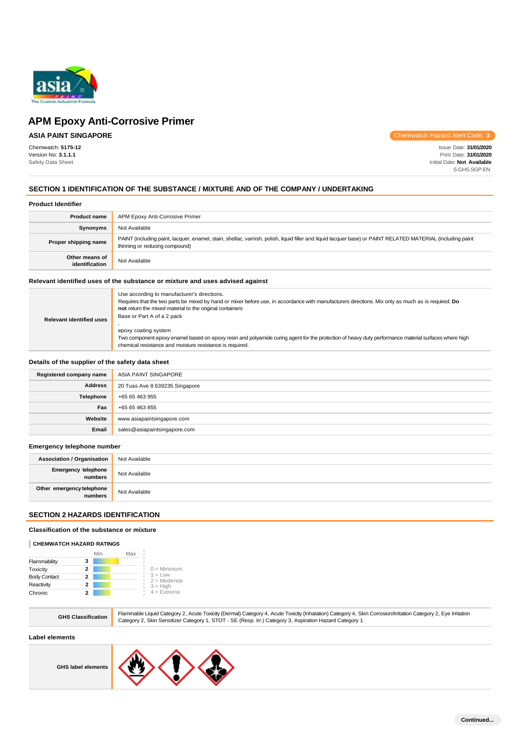

## **ASIA PAINT SINGAPORE**

Chemwatch: **5175-12** Version No: **3.1.1.1** Safety Data Sheet

Chemwatch Hazard Alert Code: **3**

Issue Date: **31/01/2020** Print Date: **31/01/2020** Initial Date: **Not Available** S.GHS.SGP.EN

### **SECTION 1 IDENTIFICATION OF THE SUBSTANCE / MIXTURE AND OF THE COMPANY / UNDERTAKING**

#### **Product Identifier**

| <b>Product name</b>              | APM Epoxy Anti-Corrosive Primer                                                                                                                                                               |
|----------------------------------|-----------------------------------------------------------------------------------------------------------------------------------------------------------------------------------------------|
| Synonyms                         | Not Available                                                                                                                                                                                 |
| Proper shipping name             | PAINT (including paint, lacquer, enamel, stain, shellac, varnish, polish, liquid filler and liquid lacquer base) or PAINT RELATED MATERIAL (including paint<br>thinning or reducing compound) |
| Other means of<br>identification | Not Available                                                                                                                                                                                 |

### **Relevant identified uses of the substance or mixture and uses advised against**

| Use according to manufacturer's directions.<br>Requires that the two parts be mixed by hand or mixer before use, in accordance with manufacturers directions. Mix only as much as is required. Do<br>not return the mixed material to the original containers<br>Base or Part A of a 2 pack<br>epoxy coating system |
|---------------------------------------------------------------------------------------------------------------------------------------------------------------------------------------------------------------------------------------------------------------------------------------------------------------------|
| Two component epoxy enamel based on epoxy resin and polyamide curing agent for the protection of heavy duty performance material surfaces where high<br>chemical resistance and moisture resistance is required.                                                                                                    |
|                                                                                                                                                                                                                                                                                                                     |

### **Details of the supplier of the safety data sheet**

| Registered company name | ASIA PAINT SINGAPORE           |
|-------------------------|--------------------------------|
| <b>Address</b>          | 20 Tuas Ave 8 639235 Singapore |
| Telephone               | +65 65 463 955                 |
| Fax                     | +65 65 463 855                 |
| Website                 | www.asiapaintsingapore.com     |
| Email                   | sales@asiapaintsingapore.com   |

#### **Emergency telephone number**

| <b>Association / Organisation</b>            | Not Available |
|----------------------------------------------|---------------|
| <b>Emergency telephone</b><br><b>numbers</b> | Not Available |
| Other emergency telephone<br>numbers         | Not Available |

### **SECTION 2 HAZARDS IDENTIFICATION**

### **Classification of the substance or mixture**

#### **CHEMWATCH HAZARD RATINGS**

|                     | Min | Max |                             |
|---------------------|-----|-----|-----------------------------|
| Flammability        | з   |     |                             |
| Toxicity            | 2   |     | $0 =$ Minimum               |
| <b>Body Contact</b> | 2   |     | $1 = Low$<br>$2 =$ Moderate |
| Reactivity          | 2   |     | $3 = High$                  |
| Chronic             |     |     | $4 =$ Extreme               |

|  | una ulassi |
|--|------------|
|  |            |
|  |            |

**GHS Classification** Flammable Liquid Category 2, Acute Toxicity (Dermal) Category 4, Acute Toxicity (Inhalation) Category 4, Skin Corrosion/Irritation Category 2, Eye Irritation Category 2, Skin Sensitizer Category 1, STOT - SE (Resp. Irr.) Category 3, Aspiration Hazard Category 1

### **Label elements**



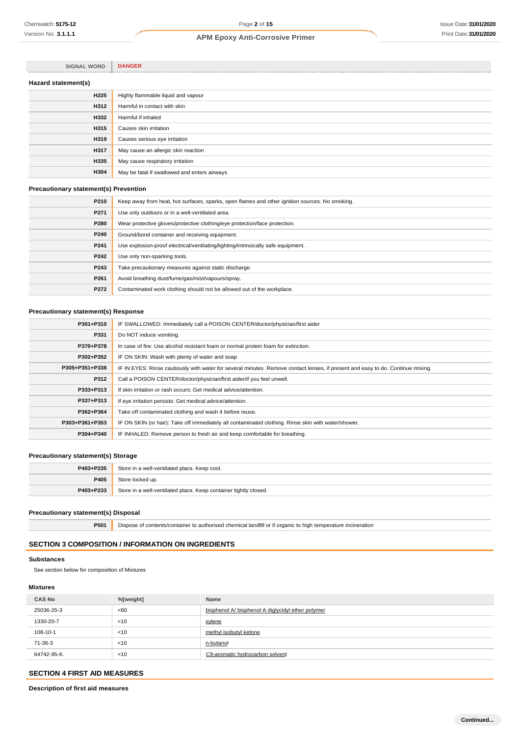| <b>SIGNAL WORD</b>  | <b>DANGER</b>                                |
|---------------------|----------------------------------------------|
| Hazard statement(s) |                                              |
| H <sub>225</sub>    | Highly flammable liquid and vapour           |
| <b>H312</b>         | Harmful in contact with skin                 |
| H332                | Harmful if inhaled                           |
| H315                | Causes skin irritation                       |
| H319                | Causes serious eye irritation                |
| <b>H317</b>         | May cause an allergic skin reaction          |
| H335                | May cause respiratory irritation             |
| H304                | May be fatal if swallowed and enters airways |

### **Precautionary statement(s) Prevention**

| P210 | Keep away from heat, hot surfaces, sparks, open flames and other ignition sources. No smoking. |
|------|------------------------------------------------------------------------------------------------|
| P271 | Use only outdoors or in a well-ventilated area.                                                |
| P280 | Wear protective gloves/protective clothing/eye protection/face protection.                     |
| P240 | Ground/bond container and receiving equipment.                                                 |
| P241 | Use explosion-proof electrical/ventilating/lighting/intrinsically safe equipment.              |
| P242 | Use only non-sparking tools.                                                                   |
| P243 | Take precautionary measures against static discharge.                                          |
| P261 | Avoid breathing dust/fume/gas/mist/vapours/spray.                                              |
| P272 | Contaminated work clothing should not be allowed out of the workplace.                         |
|      |                                                                                                |

### **Precautionary statement(s) Response**

| P301+P310      | IF SWALLOWED: Immediately call a POISON CENTER/doctor/physician/first aider                                                      |  |  |
|----------------|----------------------------------------------------------------------------------------------------------------------------------|--|--|
| P331           | Do NOT induce vomiting.                                                                                                          |  |  |
| P370+P378      | In case of fire: Use alcohol resistant foam or normal protein foam for extinction.                                               |  |  |
| P302+P352      | IF ON SKIN: Wash with plenty of water and soap                                                                                   |  |  |
| P305+P351+P338 | IF IN EYES: Rinse cautiously with water for several minutes. Remove contact lenses, if present and easy to do. Continue rinsing. |  |  |
| P312           | Call a POISON CENTER/doctor/physician/first aider/if you feel unwell.                                                            |  |  |
| P333+P313      | If skin irritation or rash occurs: Get medical advice/attention.                                                                 |  |  |
| P337+P313      | If eye irritation persists: Get medical advice/attention.                                                                        |  |  |
| P362+P364      | Take off contaminated clothing and wash it before reuse.                                                                         |  |  |
| P303+P361+P353 | IF ON SKIN (or hair): Take off immediately all contaminated clothing. Rinse skin with water/shower.                              |  |  |
| P304+P340      | IF INHALED: Remove person to fresh air and keep comfortable for breathing.                                                       |  |  |
|                |                                                                                                                                  |  |  |

### **Precautionary statement(s) Storage**

| P403+P235 | Store in a well-ventilated place. Keep cool.                     |
|-----------|------------------------------------------------------------------|
| P405      | Store locked up.                                                 |
| P403+P233 | Store in a well-ventilated place. Keep container tightly closed. |

### **Precautionary statement(s) Disposal**

**P501** Dispose of contents/container to authorised chemical landfill or if organic to high temperature incineration

### **SECTION 3 COMPOSITION / INFORMATION ON INGREDIENTS**

### **Substances**

See section below for composition of Mixtures

### **Mixtures**

| <b>CAS No</b> | %[weight] | <b>Name</b>                                       |
|---------------|-----------|---------------------------------------------------|
| 25036-25-3    | <60       | bisphenol A/ bisphenol A diglycidyl ether polymer |
| 1330-20-7     | < 10      | xylene                                            |
| 108-10-1      | < 10      | methyl isobutyl ketone                            |
| 71-36-3       | < 10      | n-butanol                                         |
| 64742-95-6.   | < 10      | C9-aromatic hydrocarbon solvent                   |

### **SECTION 4 FIRST AID MEASURES**

**Description of first aid measures**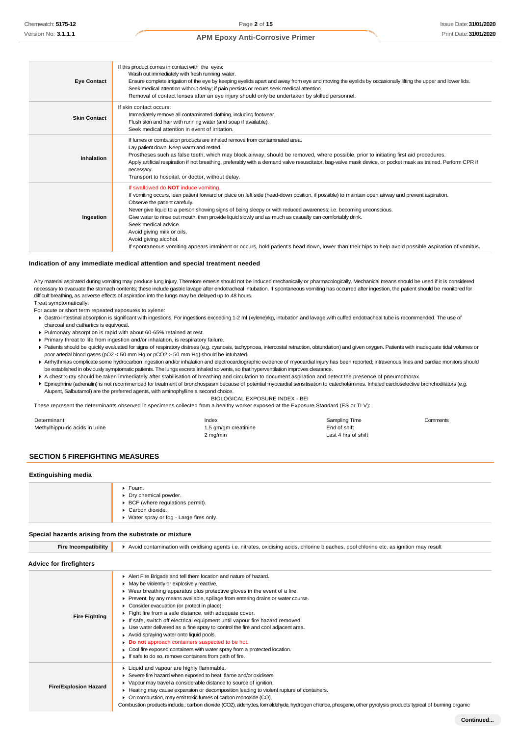| <b>Eye Contact</b>  | If this product comes in contact with the eyes:<br>Wash out immediately with fresh running water.<br>Ensure complete irrigation of the eye by keeping eyelids apart and away from eye and moving the eyelids by occasionally lifting the upper and lower lids.<br>Seek medical attention without delay; if pain persists or recurs seek medical attention.<br>Removal of contact lenses after an eye injury should only be undertaken by skilled personnel.                                                                                                                                                                                                                                     |
|---------------------|-------------------------------------------------------------------------------------------------------------------------------------------------------------------------------------------------------------------------------------------------------------------------------------------------------------------------------------------------------------------------------------------------------------------------------------------------------------------------------------------------------------------------------------------------------------------------------------------------------------------------------------------------------------------------------------------------|
| <b>Skin Contact</b> | If skin contact occurs:<br>Immediately remove all contaminated clothing, including footwear.<br>Flush skin and hair with running water (and soap if available).<br>Seek medical attention in event of irritation.                                                                                                                                                                                                                                                                                                                                                                                                                                                                               |
| Inhalation          | If fumes or combustion products are inhaled remove from contaminated area.<br>Lay patient down. Keep warm and rested.<br>Prostheses such as false teeth, which may block airway, should be removed, where possible, prior to initiating first aid procedures.<br>Apply artificial respiration if not breathing, preferably with a demand valve resuscitator, bag-valve mask device, or pocket mask as trained. Perform CPR if<br>necessary.<br>Transport to hospital, or doctor, without delay.                                                                                                                                                                                                 |
| Ingestion           | If swallowed do NOT induce vomiting.<br>If vomiting occurs, lean patient forward or place on left side (head-down position, if possible) to maintain open airway and prevent aspiration.<br>Observe the patient carefully.<br>Never give liquid to a person showing signs of being sleepy or with reduced awareness; i.e. becoming unconscious.<br>Give water to rinse out mouth, then provide liquid slowly and as much as casualty can comfortably drink.<br>Seek medical advice.<br>Avoid giving milk or oils.<br>Avoid giving alcohol.<br>If spontaneous vomiting appears imminent or occurs, hold patient's head down, lower than their hips to help avoid possible aspiration of vomitus. |

### **Indication of any immediate medical attention and special treatment needed**

Any material aspirated during vomiting may produce lung injury. Therefore emesis should not be induced mechanically or pharmacologically. Mechanical means should be used if it is considered necessary to evacuate the stomach contents; these include gastric lavage after endotracheal intubation. If spontaneous vomiting has occurred after ingestion, the patient should be monitored for difficult breathing, as adverse effects of aspiration into the lungs may be delayed up to 48 hours. Treat symptomatically.

For acute or short term repeated exposures to xylene:

- Gastro-intestinal absorption is significant with ingestions. For ingestions exceeding 1-2 ml (xylene)/kg, intubation and lavage with cuffed endotracheal tube is recommended. The use of charcoal and cathartics is equivocal.
- Pulmonary absorption is rapid with about 60-65% retained at rest.
- Primary threat to life from ingestion and/or inhalation, is respiratory failure.
- Patients should be quickly evaluated for signs of respiratory distress (e.g. cyanosis, tachypnoea, intercostal retraction, obtundation) and given oxygen. Patients with inadequate tidal volumes or poor arterial blood gases (pO2 < 50 mm Hg or pCO2 > 50 mm Hg) should be intubated.
- ▶ Arrhythmias complicate some hydrocarbon ingestion and/or inhalation and electrocardiographic evidence of myocardial injury has been reported; intravenous lines and cardiac monitors should be established in obviously symptomatic patients. The lungs excrete inhaled solvents, so that hyperventilation improves clearance.
- A chest x-ray should be taken immediately after stabilisation of breathing and circulation to document aspiration and detect the presence of pneumothorax.
- Epinephrine (adrenalin) is not recommended for treatment of bronchospasm because of potential myocardial sensitisation to catecholamines. Inhaled cardioselective bronchodilators (e.g. Alupent, Salbutamol) are the preferred agents, with aminophylline a second choice.

BIOLOGICAL EXPOSURE INDEX - BEI

These represent the determinants observed in specimens collected from a healthy worker exposed at the Exposure Standard (ES or TLV):

| Determinant                    | Index                | Sampling Time       | Comments |
|--------------------------------|----------------------|---------------------|----------|
| Methylhippu-ric acids in urine | 1.5 gm/gm creatinine | End of shift        |          |
|                                | 2 mg/min             | Last 4 hrs of shift |          |

### **SECTION 5 FIREFIGHTING MEASURES**

#### **Extinguishing media**

| $\triangleright$ Foam.<br>• Dry chemical powder. |
|--------------------------------------------------|
| ▶ BCF (where regulations permit).                |
| Carbon dioxide.                                  |
| ▶ Water spray or fog - Large fires only.         |
|                                                  |

#### **Special hazards arising from the substrate or mixture**

| <b>Fire Incompatibility</b>    | Avoid contamination with oxidising agents i.e. nitrates, oxidising acids, chlorine bleaches, pool chlorine etc. as ignition may result                                                                                                                                                                                                                                                                                                                                                                                                                                                                                                                                                                                                                                                       |
|--------------------------------|----------------------------------------------------------------------------------------------------------------------------------------------------------------------------------------------------------------------------------------------------------------------------------------------------------------------------------------------------------------------------------------------------------------------------------------------------------------------------------------------------------------------------------------------------------------------------------------------------------------------------------------------------------------------------------------------------------------------------------------------------------------------------------------------|
| <b>Advice for firefighters</b> |                                                                                                                                                                                                                                                                                                                                                                                                                                                                                                                                                                                                                                                                                                                                                                                              |
| <b>Fire Fighting</b>           | Alert Fire Brigade and tell them location and nature of hazard.<br>• May be violently or explosively reactive.<br>▶ Wear breathing apparatus plus protective gloves in the event of a fire.<br>Prevent, by any means available, spillage from entering drains or water course.<br>Consider evacuation (or protect in place).<br>Fight fire from a safe distance, with adequate cover.<br>If safe, switch off electrical equipment until vapour fire hazard removed.<br>► Use water delivered as a fine spray to control the fire and cool adjacent area.<br>Avoid spraying water onto liquid pools.<br>Do not approach containers suspected to be hot.<br>Cool fire exposed containers with water spray from a protected location.<br>If safe to do so, remove containers from path of fire. |
| <b>Fire/Explosion Hazard</b>   | • Liquid and vapour are highly flammable.<br>Severe fire hazard when exposed to heat, flame and/or oxidisers.<br>▶ Vapour may travel a considerable distance to source of ignition.<br>• Heating may cause expansion or decomposition leading to violent rupture of containers.<br>• On combustion, may emit toxic fumes of carbon monoxide (CO).<br>Combustion products include, carbon dioxide (CO2), aldehydes, formaldehyde, hydrogen chloride, phosgene, other pyrolysis products typical of burning organic                                                                                                                                                                                                                                                                            |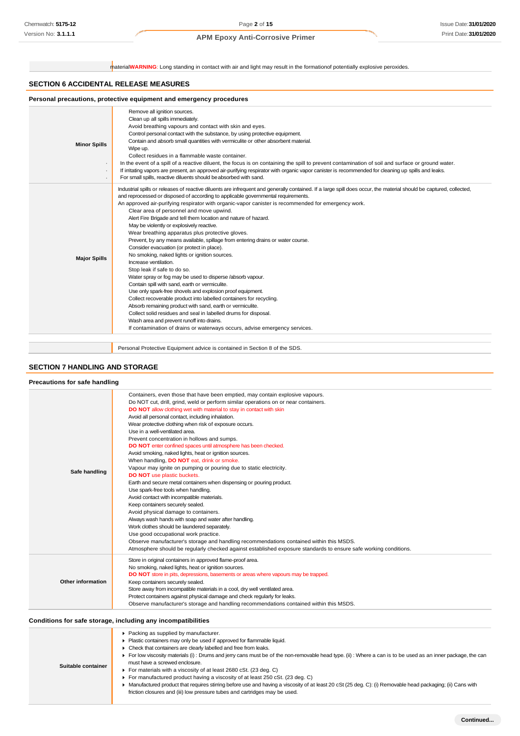material**WARNING**: Long standing in contact with air and light may result in the formationof potentially explosive peroxides.

### **SECTION 6 ACCIDENTAL RELEASE MEASURES**

| <b>Minor Spills</b> | Remove all ignition sources.<br>Clean up all spills immediately.<br>Avoid breathing vapours and contact with skin and eyes.<br>Control personal contact with the substance, by using protective equipment.<br>Contain and absorb small quantities with vermiculite or other absorbent material.<br>Wipe up.<br>Collect residues in a flammable waste container.<br>In the event of a spill of a reactive diluent, the focus is on containing the spill to prevent contamination of soil and surface or ground water.<br>If irritating vapors are present, an approved air-purifying respirator with organic vapor canister is recommended for cleaning up spills and leaks.<br>For small spills, reactive diluents should be absorbed with sand.                                                                                                                                                                                                                                                                                                                                                                                                                                                                                                                                                                                          |
|---------------------|-------------------------------------------------------------------------------------------------------------------------------------------------------------------------------------------------------------------------------------------------------------------------------------------------------------------------------------------------------------------------------------------------------------------------------------------------------------------------------------------------------------------------------------------------------------------------------------------------------------------------------------------------------------------------------------------------------------------------------------------------------------------------------------------------------------------------------------------------------------------------------------------------------------------------------------------------------------------------------------------------------------------------------------------------------------------------------------------------------------------------------------------------------------------------------------------------------------------------------------------------------------------------------------------------------------------------------------------|
| <b>Major Spills</b> | Industrial spills or releases of reactive diluents are infrequent and generally contained. If a large spill does occur, the material should be captured, collected,<br>and reprocessed or disposed of according to applicable governmental requirements.<br>An approved air-purifying respirator with organic-vapor canister is recommended for emergency work.<br>Clear area of personnel and move upwind.<br>Alert Fire Brigade and tell them location and nature of hazard.<br>May be violently or explosively reactive.<br>Wear breathing apparatus plus protective gloves.<br>Prevent, by any means available, spillage from entering drains or water course.<br>Consider evacuation (or protect in place).<br>No smoking, naked lights or ignition sources.<br>Increase ventilation.<br>Stop leak if safe to do so.<br>Water spray or fog may be used to disperse /absorb vapour.<br>Contain spill with sand, earth or vermiculite.<br>Use only spark-free shovels and explosion proof equipment.<br>Collect recoverable product into labelled containers for recycling.<br>Absorb remaining product with sand, earth or vermiculite.<br>Collect solid residues and seal in labelled drums for disposal.<br>Wash area and prevent runoff into drains.<br>If contamination of drains or waterways occurs, advise emergency services. |

Personal Protective Equipment advice is contained in Section 8 of the SDS.

## **SECTION 7 HANDLING AND STORAGE**

| Precautions for safe handling |                                                                                                                                                                                                                                                                                                                                                                                                                                                                                                                                                                                                                                                                                                                                                                                                                                                                                                                                                                                                                                                                                                                                                                                                                                                                                                                                               |
|-------------------------------|-----------------------------------------------------------------------------------------------------------------------------------------------------------------------------------------------------------------------------------------------------------------------------------------------------------------------------------------------------------------------------------------------------------------------------------------------------------------------------------------------------------------------------------------------------------------------------------------------------------------------------------------------------------------------------------------------------------------------------------------------------------------------------------------------------------------------------------------------------------------------------------------------------------------------------------------------------------------------------------------------------------------------------------------------------------------------------------------------------------------------------------------------------------------------------------------------------------------------------------------------------------------------------------------------------------------------------------------------|
| Safe handling                 | Containers, even those that have been emptied, may contain explosive vapours.<br>Do NOT cut, drill, grind, weld or perform similar operations on or near containers.<br>DO NOT allow clothing wet with material to stay in contact with skin<br>Avoid all personal contact, including inhalation.<br>Wear protective clothing when risk of exposure occurs.<br>Use in a well-ventilated area.<br>Prevent concentration in hollows and sumps.<br>DO NOT enter confined spaces until atmosphere has been checked.<br>Avoid smoking, naked lights, heat or ignition sources.<br>When handling, DO NOT eat, drink or smoke.<br>Vapour may ignite on pumping or pouring due to static electricity.<br><b>DO NOT</b> use plastic buckets.<br>Earth and secure metal containers when dispensing or pouring product.<br>Use spark-free tools when handling.<br>Avoid contact with incompatible materials.<br>Keep containers securely sealed.<br>Avoid physical damage to containers.<br>Always wash hands with soap and water after handling.<br>Work clothes should be laundered separately.<br>Use good occupational work practice.<br>Observe manufacturer's storage and handling recommendations contained within this MSDS.<br>Atmosphere should be regularly checked against established exposure standards to ensure safe working conditions. |
| Other information             | Store in original containers in approved flame-proof area.<br>No smoking, naked lights, heat or ignition sources.<br>DO NOT store in pits, depressions, basements or areas where vapours may be trapped.<br>Keep containers securely sealed.<br>Store away from incompatible materials in a cool, dry well ventilated area.<br>Protect containers against physical damage and check regularly for leaks.<br>Observe manufacturer's storage and handling recommendations contained within this MSDS.                                                                                                                                                                                                                                                                                                                                                                                                                                                                                                                                                                                                                                                                                                                                                                                                                                           |

| Conditions for safe storage, including any incompatibilities                                                                                                                                                                         |
|--------------------------------------------------------------------------------------------------------------------------------------------------------------------------------------------------------------------------------------|
| <b>A Production of the state of the district of the state of the state of the state of the state of the state of the state of the state of the state of the state of the state of the state of the state of the state of the sta</b> |

|                    | ▶ Packing as supplied by manufacturer.                                                                                                                       |
|--------------------|--------------------------------------------------------------------------------------------------------------------------------------------------------------|
|                    | Plastic containers may only be used if approved for flammable liquid.                                                                                        |
|                    | • Check that containers are clearly labelled and free from leaks.                                                                                            |
|                    | For low viscosity materials (i): Drums and jerry cans must be of the non-removable head type. (ii): Where a can is to be used as an inner package, the can   |
| Suitable container | must have a screwed enclosure.                                                                                                                               |
|                    | • For materials with a viscosity of at least 2680 cSt. (23 deg. C)                                                                                           |
|                    | $\blacktriangleright$ For manufactured product having a viscosity of at least 250 cSt. (23 deg. C)                                                           |
|                    | ▶ Manufactured product that requires stirring before use and having a viscosity of at least 20 cSt (25 deg. C): (i) Removable head packaging; (ii) Cans with |
|                    | friction closures and (iii) low pressure tubes and cartridges may be used.                                                                                   |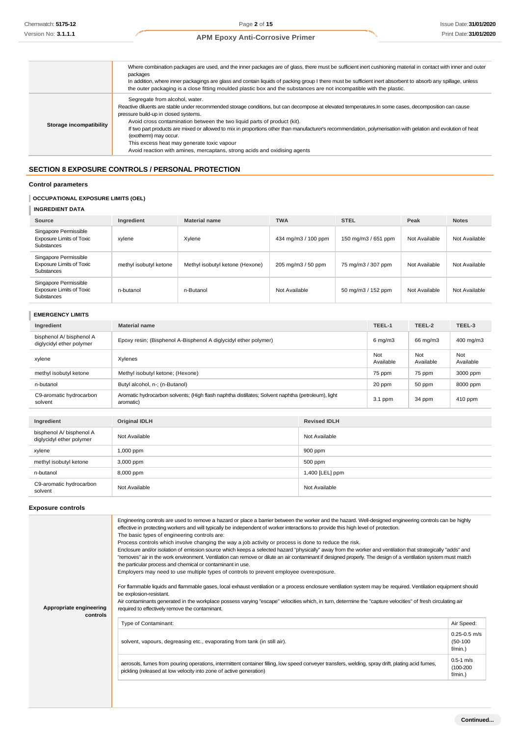|                         | Where combination packages are used, and the inner packages are of glass, there must be sufficient inert cushioning material in contact with inner and outer<br>packages<br>In addition, where inner packagings are glass and contain liquids of packing group I there must be sufficient inert absorbent to absorb any spillage, unless<br>the outer packaging is a close fitting moulded plastic box and the substances are not incompatible with the plastic.                                                                                                                                                               |
|-------------------------|--------------------------------------------------------------------------------------------------------------------------------------------------------------------------------------------------------------------------------------------------------------------------------------------------------------------------------------------------------------------------------------------------------------------------------------------------------------------------------------------------------------------------------------------------------------------------------------------------------------------------------|
| Storage incompatibility | Segregate from alcohol, water.<br>Reactive diluents are stable under recommended storage conditions, but can decompose at elevated temperatures.In some cases, decomposition can cause<br>pressure build-up in closed systems.<br>Avoid cross contamination between the two liquid parts of product (kit).<br>If two part products are mixed or allowed to mix in proportions other than manufacturer's recommendation, polymerisation with gelation and evolution of heat<br>(exotherm) may occur.<br>This excess heat may generate toxic vapour<br>Avoid reaction with amines, mercaptans, strong acids and oxidising agents |

## **SECTION 8 EXPOSURE CONTROLS / PERSONAL PROTECTION**

### **Control parameters**

### **OCCUPATIONAL EXPOSURE LIMITS (OEL)**

**INGREDIENT DATA**

| Source                                                                        | Ingredient             | <b>Material name</b>            | <b>TWA</b>          | <b>STEL</b>         | Peak          | <b>Notes</b>  |
|-------------------------------------------------------------------------------|------------------------|---------------------------------|---------------------|---------------------|---------------|---------------|
| Singapore Permissible<br><b>Exposure Limits of Toxic</b><br><b>Substances</b> | xylene                 | Xylene                          | 434 mg/m3 / 100 ppm | 150 mg/m3 / 651 ppm | Not Available | Not Available |
| Singapore Permissible<br><b>Exposure Limits of Toxic</b><br><b>Substances</b> | methyl isobutyl ketone | Methyl isobutyl ketone (Hexone) | 205 mg/m3 / 50 ppm  | 75 mg/m3 / 307 ppm  | Not Available | Not Available |
| Singapore Permissible<br><b>Exposure Limits of Toxic</b><br><b>Substances</b> | n-butanol              | n-Butanol                       | Not Available       | 50 mg/m3 / 152 ppm  | Not Available | Not Available |

### **EMERGENCY LIMITS**

| Ingredient                                           | <b>Material name</b>                                                                                            |                     | TEEL-1           | TEEL-2           | TEEL-3           |
|------------------------------------------------------|-----------------------------------------------------------------------------------------------------------------|---------------------|------------------|------------------|------------------|
| bisphenol A/ bisphenol A<br>diglycidyl ether polymer | Epoxy resin; (Bisphenol A-Bisphenol A diglycidyl ether polymer)                                                 |                     | $6$ mg/m $3$     | 66 mg/m3         | 400 mg/m3        |
| xylene                                               | Xylenes                                                                                                         |                     | Not<br>Available | Not<br>Available | Not<br>Available |
| methyl isobutyl ketone                               | Methyl isobutyl ketone; (Hexone)                                                                                |                     | 75 ppm           | 75 ppm           | 3000 ppm         |
| n-butanol                                            | Butyl alcohol, n-; (n-Butanol)                                                                                  |                     | 20 ppm           | 50 ppm           | 8000 ppm         |
| C9-aromatic hydrocarbon<br>solvent                   | Aromatic hydrocarbon solvents; (High flash naphtha distillates; Solvent naphtha (petroleum), light<br>aromatic) |                     | $3.1$ ppm        | 34 ppm           | 410 ppm          |
|                                                      |                                                                                                                 |                     |                  |                  |                  |
| Ingredient                                           | <b>Original IDLH</b>                                                                                            | <b>Revised IDLH</b> |                  |                  |                  |
| bisphenol A/ bisphenol A<br>diglycidyl ether polymer | Not Available                                                                                                   | Not Available       |                  |                  |                  |
| xylene                                               | 900 ppm<br>1,000 ppm                                                                                            |                     |                  |                  |                  |
| methyl isobutyl ketone                               | 3,000 ppm                                                                                                       | 500 ppm             |                  |                  |                  |
| n-butanol                                            | 8,000 ppm                                                                                                       | 1,400 [LEL] ppm     |                  |                  |                  |
| C9-aromatic hydrocarbon<br>solvent                   | Not Available                                                                                                   | Not Available       |                  |                  |                  |

### **Exposure controls**

| Appropriate engineering<br>controls | Engineering controls are used to remove a hazard or place a barrier between the worker and the hazard. Well-designed engineering controls can be highly<br>effective in protecting workers and will typically be independent of worker interactions to provide this high level of protection.<br>The basic types of engineering controls are:<br>Process controls which involve changing the way a job activity or process is done to reduce the risk.<br>Enclosure and/or isolation of emission source which keeps a selected hazard "physically" away from the worker and ventilation that strategically "adds" and<br>"removes" air in the work environment. Ventilation can remove or dilute an air contaminant if designed properly. The design of a ventilation system must match<br>the particular process and chemical or contaminant in use.<br>Employers may need to use multiple types of controls to prevent employee overexposure.<br>For flammable liquids and flammable gases, local exhaust ventilation or a process enclosure ventilation system may be required. Ventilation equipment should<br>be explosion-resistant.<br>Air contaminants generated in the workplace possess varying "escape" velocities which, in turn, determine the "capture velocities" of fresh circulating air<br>required to effectively remove the contaminant. |                                            |
|-------------------------------------|--------------------------------------------------------------------------------------------------------------------------------------------------------------------------------------------------------------------------------------------------------------------------------------------------------------------------------------------------------------------------------------------------------------------------------------------------------------------------------------------------------------------------------------------------------------------------------------------------------------------------------------------------------------------------------------------------------------------------------------------------------------------------------------------------------------------------------------------------------------------------------------------------------------------------------------------------------------------------------------------------------------------------------------------------------------------------------------------------------------------------------------------------------------------------------------------------------------------------------------------------------------------------------------------------------------------------------------------------------------|--------------------------------------------|
|                                     | Type of Contaminant:                                                                                                                                                                                                                                                                                                                                                                                                                                                                                                                                                                                                                                                                                                                                                                                                                                                                                                                                                                                                                                                                                                                                                                                                                                                                                                                                         | Air Speed:                                 |
|                                     | solvent, vapours, degreasing etc., evaporating from tank (in still air).                                                                                                                                                                                                                                                                                                                                                                                                                                                                                                                                                                                                                                                                                                                                                                                                                                                                                                                                                                                                                                                                                                                                                                                                                                                                                     | $0.25 - 0.5$ m/s<br>$(50-100)$<br>f/min.)  |
|                                     | aerosols, fumes from pouring operations, intermittent container filling, low speed conveyer transfers, welding, spray drift, plating acid fumes,<br>pickling (released at low velocity into zone of active generation)                                                                                                                                                                                                                                                                                                                                                                                                                                                                                                                                                                                                                                                                                                                                                                                                                                                                                                                                                                                                                                                                                                                                       | $0.5 - 1$ m/s<br>$(100-200)$<br>$f/min.$ ) |
|                                     |                                                                                                                                                                                                                                                                                                                                                                                                                                                                                                                                                                                                                                                                                                                                                                                                                                                                                                                                                                                                                                                                                                                                                                                                                                                                                                                                                              |                                            |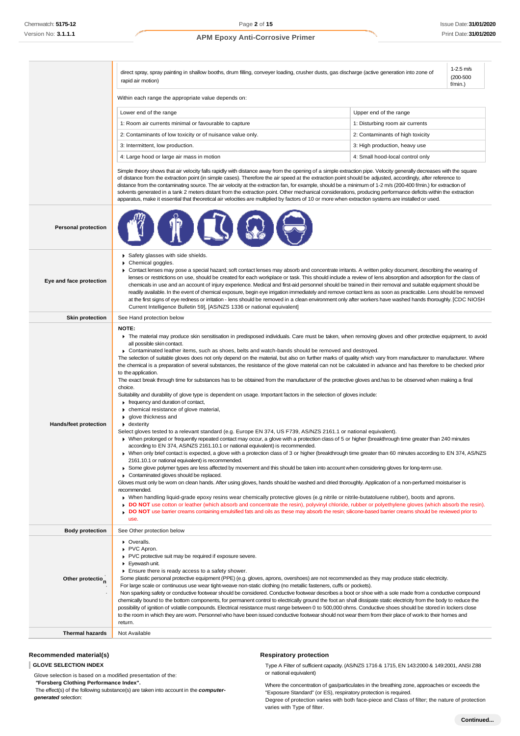|                              | $1-2.5$ m/s<br>direct spray, spray painting in shallow booths, drum filling, conveyer loading, crusher dusts, gas discharge (active generation into zone of<br>$(200 - 500)$<br>rapid air motion)<br>$f/min.$ )                                                                                                                                                                                                                                                                                                                                                                                                                                                                                                                                                                                                                                                                                                                                                                                                                                                                                                                                                                                                                                                                                                                                                                                                                                                                                                                                                                                                                                                                                                                                                                                                                                                                                                                                                                                                                                                                                                                                                                                                                                                                                                                                                                                                                                                                                                                |                                  |  |  |
|------------------------------|--------------------------------------------------------------------------------------------------------------------------------------------------------------------------------------------------------------------------------------------------------------------------------------------------------------------------------------------------------------------------------------------------------------------------------------------------------------------------------------------------------------------------------------------------------------------------------------------------------------------------------------------------------------------------------------------------------------------------------------------------------------------------------------------------------------------------------------------------------------------------------------------------------------------------------------------------------------------------------------------------------------------------------------------------------------------------------------------------------------------------------------------------------------------------------------------------------------------------------------------------------------------------------------------------------------------------------------------------------------------------------------------------------------------------------------------------------------------------------------------------------------------------------------------------------------------------------------------------------------------------------------------------------------------------------------------------------------------------------------------------------------------------------------------------------------------------------------------------------------------------------------------------------------------------------------------------------------------------------------------------------------------------------------------------------------------------------------------------------------------------------------------------------------------------------------------------------------------------------------------------------------------------------------------------------------------------------------------------------------------------------------------------------------------------------------------------------------------------------------------------------------------------------|----------------------------------|--|--|
|                              | Within each range the appropriate value depends on:                                                                                                                                                                                                                                                                                                                                                                                                                                                                                                                                                                                                                                                                                                                                                                                                                                                                                                                                                                                                                                                                                                                                                                                                                                                                                                                                                                                                                                                                                                                                                                                                                                                                                                                                                                                                                                                                                                                                                                                                                                                                                                                                                                                                                                                                                                                                                                                                                                                                            |                                  |  |  |
|                              | Lower end of the range<br>Upper end of the range                                                                                                                                                                                                                                                                                                                                                                                                                                                                                                                                                                                                                                                                                                                                                                                                                                                                                                                                                                                                                                                                                                                                                                                                                                                                                                                                                                                                                                                                                                                                                                                                                                                                                                                                                                                                                                                                                                                                                                                                                                                                                                                                                                                                                                                                                                                                                                                                                                                                               |                                  |  |  |
|                              | 1: Room air currents minimal or favourable to capture                                                                                                                                                                                                                                                                                                                                                                                                                                                                                                                                                                                                                                                                                                                                                                                                                                                                                                                                                                                                                                                                                                                                                                                                                                                                                                                                                                                                                                                                                                                                                                                                                                                                                                                                                                                                                                                                                                                                                                                                                                                                                                                                                                                                                                                                                                                                                                                                                                                                          | 1: Disturbing room air currents  |  |  |
|                              | 2: Contaminants of low toxicity or of nuisance value only.                                                                                                                                                                                                                                                                                                                                                                                                                                                                                                                                                                                                                                                                                                                                                                                                                                                                                                                                                                                                                                                                                                                                                                                                                                                                                                                                                                                                                                                                                                                                                                                                                                                                                                                                                                                                                                                                                                                                                                                                                                                                                                                                                                                                                                                                                                                                                                                                                                                                     | 2: Contaminants of high toxicity |  |  |
|                              | 3: Intermittent, low production.                                                                                                                                                                                                                                                                                                                                                                                                                                                                                                                                                                                                                                                                                                                                                                                                                                                                                                                                                                                                                                                                                                                                                                                                                                                                                                                                                                                                                                                                                                                                                                                                                                                                                                                                                                                                                                                                                                                                                                                                                                                                                                                                                                                                                                                                                                                                                                                                                                                                                               | 3: High production, heavy use    |  |  |
|                              | 4: Large hood or large air mass in motion                                                                                                                                                                                                                                                                                                                                                                                                                                                                                                                                                                                                                                                                                                                                                                                                                                                                                                                                                                                                                                                                                                                                                                                                                                                                                                                                                                                                                                                                                                                                                                                                                                                                                                                                                                                                                                                                                                                                                                                                                                                                                                                                                                                                                                                                                                                                                                                                                                                                                      | 4: Small hood-local control only |  |  |
|                              | Simple theory shows that air velocity falls rapidly with distance away from the opening of a simple extraction pipe. Velocity generally decreases with the square<br>of distance from the extraction point (in simple cases). Therefore the air speed at the extraction point should be adjusted, accordingly, after reference to<br>distance from the contaminating source. The air velocity at the extraction fan, for example, should be a minimum of 1-2 m/s (200-400 f/min.) for extraction of<br>solvents generated in a tank 2 meters distant from the extraction point. Other mechanical considerations, producing performance deficits within the extraction<br>apparatus, make it essential that theoretical air velocities are multiplied by factors of 10 or more when extraction systems are installed or used.                                                                                                                                                                                                                                                                                                                                                                                                                                                                                                                                                                                                                                                                                                                                                                                                                                                                                                                                                                                                                                                                                                                                                                                                                                                                                                                                                                                                                                                                                                                                                                                                                                                                                                   |                                  |  |  |
| <b>Personal protection</b>   |                                                                                                                                                                                                                                                                                                                                                                                                                                                                                                                                                                                                                                                                                                                                                                                                                                                                                                                                                                                                                                                                                                                                                                                                                                                                                                                                                                                                                                                                                                                                                                                                                                                                                                                                                                                                                                                                                                                                                                                                                                                                                                                                                                                                                                                                                                                                                                                                                                                                                                                                |                                  |  |  |
| Eye and face protection      | Safety glasses with side shields.<br>Chemical goggles.<br>▶ Contact lenses may pose a special hazard; soft contact lenses may absorb and concentrate irritants. A written policy document, describing the wearing of<br>lenses or restrictions on use, should be created for each workplace or task. This should include a review of lens absorption and adsorption for the class of<br>chemicals in use and an account of injury experience. Medical and first-aid personnel should be trained in their removal and suitable equipment should be<br>readily available. In the event of chemical exposure, begin eye irrigation immediately and remove contact lens as soon as practicable. Lens should be removed<br>at the first signs of eye redness or irritation - lens should be removed in a clean environment only after workers have washed hands thoroughly. [CDC NIOSH<br>Current Intelligence Bulletin 59], [AS/NZS 1336 or national equivalent]                                                                                                                                                                                                                                                                                                                                                                                                                                                                                                                                                                                                                                                                                                                                                                                                                                                                                                                                                                                                                                                                                                                                                                                                                                                                                                                                                                                                                                                                                                                                                                   |                                  |  |  |
| <b>Skin protection</b>       | See Hand protection below                                                                                                                                                                                                                                                                                                                                                                                                                                                                                                                                                                                                                                                                                                                                                                                                                                                                                                                                                                                                                                                                                                                                                                                                                                                                                                                                                                                                                                                                                                                                                                                                                                                                                                                                                                                                                                                                                                                                                                                                                                                                                                                                                                                                                                                                                                                                                                                                                                                                                                      |                                  |  |  |
| <b>Hands/feet protection</b> | NOTE:<br>The material may produce skin sensitisation in predisposed individuals. Care must be taken, when removing gloves and other protective equipment, to avoid<br>all possible skin contact.<br>► Contaminated leather items, such as shoes, belts and watch-bands should be removed and destroyed.<br>The selection of suitable gloves does not only depend on the material, but also on further marks of quality which vary from manufacturer to manufacturer. Where<br>the chemical is a preparation of several substances, the resistance of the glove material can not be calculated in advance and has therefore to be checked prior<br>to the application.<br>The exact break through time for substances has to be obtained from the manufacturer of the protective gloves and has to be observed when making a final<br>choice.<br>Suitability and durability of glove type is dependent on usage. Important factors in the selection of gloves include:<br>Firequency and duration of contact,<br>• chemical resistance of glove material,<br>▶ glove thickness and<br>$\bullet$ dexterity<br>Select gloves tested to a relevant standard (e.g. Europe EN 374, US F739, AS/NZS 2161.1 or national equivalent).<br>• When prolonged or frequently repeated contact may occur, a glove with a protection class of 5 or higher (breakthrough time greater than 240 minutes<br>according to EN 374, AS/NZS 2161.10.1 or national equivalent) is recommended.<br>▶ When only brief contact is expected, a glove with a protection class of 3 or higher (breakthrough time greater than 60 minutes according to EN 374, AS/NZS<br>2161.10.1 or national equivalent) is recommended.<br>► Some glove polymer types are less affected by movement and this should be taken into account when considering gloves for long-term use.<br>• Contaminated gloves should be replaced.<br>Gloves must only be wom on clean hands. After using gloves, hands should be washed and dried thoroughly. Application of a non-perfumed moisturiser is<br>recommended.<br>• When handling liquid-grade epoxy resins wear chemically protective gloves (e.g nitrile or nitrile-butatoluene rubber), boots and aprons.<br>▶ DO NOT use cotton or leather (which absorb and concentrate the resin), polyvinyl chloride, rubber or polyethylene gloves (which absorb the resin).<br>DO NOT use barrier creams containing emulsified fats and oils as these may absorb the resin; silicone-based barrier creams should be reviewed prior to |                                  |  |  |
| <b>Body protection</b>       | See Other protection below                                                                                                                                                                                                                                                                                                                                                                                                                                                                                                                                                                                                                                                                                                                                                                                                                                                                                                                                                                                                                                                                                                                                                                                                                                                                                                                                                                                                                                                                                                                                                                                                                                                                                                                                                                                                                                                                                                                                                                                                                                                                                                                                                                                                                                                                                                                                                                                                                                                                                                     |                                  |  |  |
| Other protectio <sub>n</sub> | • Overalls.<br>PVC Apron.<br>PVC protective suit may be required if exposure severe.<br>Eyewash unit.<br>Ensure there is ready access to a safety shower.<br>Some plastic personal protective equipment (PPE) (e.g. gloves, aprons, overshoes) are not recommended as they may produce static electricity.<br>For large scale or continuous use wear tight-weave non-static clothing (no metallic fasteners, cuffs or pockets).<br>Non sparking safety or conductive footwear should be considered. Conductive footwear describes a boot or shoe with a sole made from a conductive compound<br>chemically bound to the bottom components, for permanent control to electrically ground the foot an shall dissipate static electricity from the body to reduce the<br>possibility of ignition of volatile compounds. Electrical resistance must range between 0 to 500,000 ohms. Conductive shoes should be stored in lockers close<br>to the room in which they are worn. Personnel who have been issued conductive footwear should not wear them from their place of work to their homes and<br>return.                                                                                                                                                                                                                                                                                                                                                                                                                                                                                                                                                                                                                                                                                                                                                                                                                                                                                                                                                                                                                                                                                                                                                                                                                                                                                                                                                                                                                      |                                  |  |  |
| <b>Thermal hazards</b>       | Not Available                                                                                                                                                                                                                                                                                                                                                                                                                                                                                                                                                                                                                                                                                                                                                                                                                                                                                                                                                                                                                                                                                                                                                                                                                                                                                                                                                                                                                                                                                                                                                                                                                                                                                                                                                                                                                                                                                                                                                                                                                                                                                                                                                                                                                                                                                                                                                                                                                                                                                                                  |                                  |  |  |
|                              |                                                                                                                                                                                                                                                                                                                                                                                                                                                                                                                                                                                                                                                                                                                                                                                                                                                                                                                                                                                                                                                                                                                                                                                                                                                                                                                                                                                                                                                                                                                                                                                                                                                                                                                                                                                                                                                                                                                                                                                                                                                                                                                                                                                                                                                                                                                                                                                                                                                                                                                                |                                  |  |  |

### **Recommended material(s)**

**GLOVE SELECTION INDEX**

Glove selection is based on a modified presentation of the:

*"***Forsberg Clothing Performance Index".**

The effect(s) of the following substance(s) are taken into account in the *computergenerated* selection:

### **Respiratory protection**

Type A Filter of sufficient capacity. (AS/NZS 1716 & 1715, EN 143:2000 & 149:2001, ANSI Z88 or national equivalent)

Where the concentration of gas/particulates in the breathing zone, approaches or exceeds the "Exposure Standard" (or ES), respiratory protection is required.

Degree of protection varies with both face-piece and Class of filter; the nature of protection varies with Type of filter.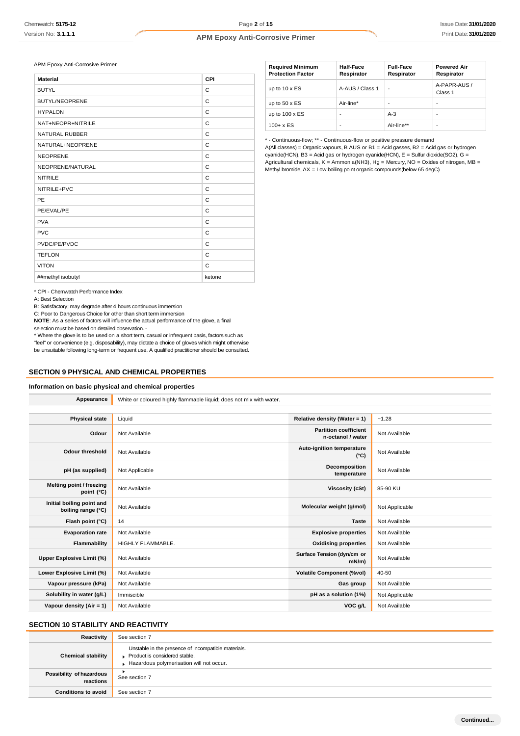APM Epoxy Anti-Corrosive Primer

| <b>Material</b>       | CPI    |
|-----------------------|--------|
| <b>BUTYL</b>          | C      |
| <b>BUTYL/NEOPRENE</b> | C      |
| <b>HYPALON</b>        | C      |
| NAT+NEOPR+NITRILE     | C      |
| <b>NATURAL RUBBER</b> | C      |
| NATURAL+NEOPRENE      | C      |
| <b>NEOPRENE</b>       | C      |
| NEOPRENE/NATURAL      | C      |
| <b>NITRILE</b>        | C      |
| NITRILE+PVC           | C      |
| PE                    | C      |
| PE/EVAL/PE            | C      |
| <b>PVA</b>            | C      |
| <b>PVC</b>            | C      |
| PVDC/PE/PVDC          | C      |
| <b>TEFLON</b>         | C      |
| <b>VITON</b>          | C      |
| ##methyl isobutyl     | ketone |

| <b>Required Minimum</b><br><b>Protection Factor</b> | Half-Face<br>Respirator | <b>Full-Face</b><br>Respirator | <b>Powered Air</b><br>Respirator |
|-----------------------------------------------------|-------------------------|--------------------------------|----------------------------------|
| up to $10 \times ES$                                | A-AUS / Class 1         | ٠                              | A-PAPR-AUS /<br>Class 1          |
| up to $50 \times ES$                                | Air-line*               | ۰                              | -                                |
| up to $100 \times ES$                               | ٠                       | $A-3$                          | -                                |
| $100 + x ES$                                        | ٠                       | Air-line**                     | $\overline{\phantom{a}}$         |

\* - Continuous-flow; \*\* - Continuous-flow or positive pressure demand

A(All classes) = Organic vapours, B AUS or B1 = Acid gasses, B2 = Acid gas or hydrogen cyanide(HCN), B3 = Acid gas or hydrogen cyanide(HCN), E = Sulfur dioxide(SO2), G = Agricultural chemicals,  $K =$  Ammonia(NH3), Hg = Mercury, NO = Oxides of nitrogen, MB = Methyl bromide,  $AX = Low$  boiling point organic compounds(below 65 degC)

\* CPI - Chemwatch Performance Index

A: Best Selection

B: Satisfactory; may degrade after 4 hours continuous immersion

C: Poor to Dangerous Choice for other than short term immersion

**NOTE**: As a series of factors will influence the actual performance of the glove, a final selection must be based on detailed observation. -

\* Where the glove is to be used on a short term, casual or infrequent basis, factors such as "feel" or convenience (e.g. disposability), may dictate a choice of gloves which might otherwise be unsuitable following long-term or frequent use. A qualified practitioner should be consulted.

### **SECTION 9 PHYSICAL AND CHEMICAL PROPERTIES**

### **Information on basic physical and chemical properties**

| Appearance                                      | White or coloured highly flammable liquid; does not mix with water. |                                                   |                |
|-------------------------------------------------|---------------------------------------------------------------------|---------------------------------------------------|----------------|
|                                                 |                                                                     |                                                   |                |
| <b>Physical state</b>                           | Liquid                                                              | Relative density (Water = 1)                      | $-1.28$        |
| Odour                                           | Not Available                                                       | <b>Partition coefficient</b><br>n-octanol / water | Not Available  |
| <b>Odour threshold</b>                          | Not Available                                                       | Auto-ignition temperature<br>$(^{\circ}C)$        | Not Available  |
| pH (as supplied)                                | Not Applicable                                                      | Decomposition<br>temperature                      | Not Available  |
| Melting point / freezing<br>point (°C)          | Not Available                                                       | <b>Viscosity (cSt)</b>                            | 85-90 KU       |
| Initial boiling point and<br>boiling range (°C) | Not Available                                                       | Molecular weight (g/mol)                          | Not Applicable |
| Flash point (°C)                                | 14                                                                  | <b>Taste</b>                                      | Not Available  |
| <b>Evaporation rate</b>                         | Not Available                                                       | <b>Explosive properties</b>                       | Not Available  |
| Flammability                                    | HIGHLY FLAMMABLE.                                                   | <b>Oxidising properties</b>                       | Not Available  |
| Upper Explosive Limit (%)                       | Not Available                                                       | Surface Tension (dyn/cm or<br>$mN/m$ )            | Not Available  |
| Lower Explosive Limit (%)                       | Not Available                                                       | <b>Volatile Component (%vol)</b>                  | 40-50          |
| Vapour pressure (kPa)                           | Not Available                                                       | Gas group                                         | Not Available  |
| Solubility in water (g/L)                       | Immiscible                                                          | pH as a solution (1%)                             | Not Applicable |
| Vapour density (Air = 1)                        | Not Available                                                       | VOC g/L                                           | Not Available  |

## **SECTION 10 STABILITY AND REACTIVITY**

| Reactivity                            | See section 7                                                                                                                    |
|---------------------------------------|----------------------------------------------------------------------------------------------------------------------------------|
| <b>Chemical stability</b>             | Unstable in the presence of incompatible materials.<br>Product is considered stable.<br>Hazardous polymerisation will not occur. |
| Possibility of hazardous<br>reactions | See section 7                                                                                                                    |
| <b>Conditions to avoid</b>            | See section 7                                                                                                                    |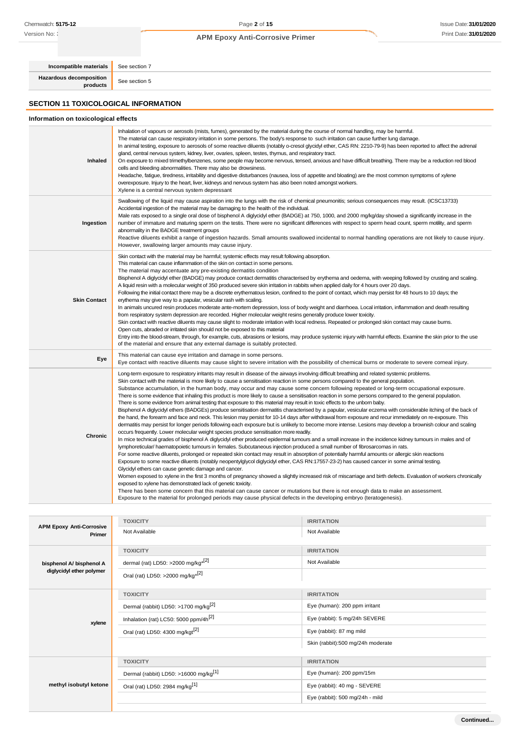Version No: **:** 

### **APM Epoxy Anti-Corrosive Primer**

**Hazardous decomposition**

**Incompatible materials** See section 7

**products** See section 5

### **SECTION 11 TOXICOLOGICAL INFORMATION**

### **Information on toxicological effects**

| Inhaled             | Inhalation of vapours or aerosols (mists, fumes), generated by the material during the course of normal handling, may be harmful.<br>The material can cause respiratory irritation in some persons. The body's response to such irritation can cause further lung damage.<br>In animal testing, exposure to aerosols of some reactive diluents (notably o-cresol glycidyl ether, CAS RN: 2210-79-9) has been reported to affect the adrenal<br>gland, central nervous system, kidney, liver, ovaries, spleen, testes, thymus, and respiratory tract.<br>On exposure to mixed trimethylbenzenes, some people may become nervous, tensed, anxious and have difficult breathing. There may be a reduction red blood<br>cells and bleeding abnormalities. There may also be drowsiness.<br>Headache, fatigue, tiredness, irritability and digestive disturbances (nausea, loss of appetite and bloating) are the most common symptoms of xylene<br>overexposure. Injury to the heart, liver, kidneys and nervous system has also been noted amongst workers.<br>Xylene is a central nervous system depressant                                                                                                                                                                                                                                                                                                                                                                                                                                                                                                                                                                                                                                                                                                                                                                                                                                                                                                                                                                                                                                                                                                                                                                                                                                                                                                                                                       |
|---------------------|-----------------------------------------------------------------------------------------------------------------------------------------------------------------------------------------------------------------------------------------------------------------------------------------------------------------------------------------------------------------------------------------------------------------------------------------------------------------------------------------------------------------------------------------------------------------------------------------------------------------------------------------------------------------------------------------------------------------------------------------------------------------------------------------------------------------------------------------------------------------------------------------------------------------------------------------------------------------------------------------------------------------------------------------------------------------------------------------------------------------------------------------------------------------------------------------------------------------------------------------------------------------------------------------------------------------------------------------------------------------------------------------------------------------------------------------------------------------------------------------------------------------------------------------------------------------------------------------------------------------------------------------------------------------------------------------------------------------------------------------------------------------------------------------------------------------------------------------------------------------------------------------------------------------------------------------------------------------------------------------------------------------------------------------------------------------------------------------------------------------------------------------------------------------------------------------------------------------------------------------------------------------------------------------------------------------------------------------------------------------------------------------------------------------------------------------------------------------|
| Ingestion           | Swallowing of the liquid may cause aspiration into the lungs with the risk of chemical pneumonitis; serious consequences may result. (ICSC13733)<br>Accidental ingestion of the material may be damaging to the health of the individual.<br>Male rats exposed to a single oral dose of bisphenol A diglycidyl ether (BADGE) at 750, 1000, and 2000 mg/kg/day showed a significantly increase in the<br>number of immature and maturing sperm on the testis. There were no significant differences with respect to sperm head count, sperm motility, and sperm<br>abnormality in the BADGE treatment groups<br>Reactive diluents exhibit a range of ingestion hazards. Small amounts swallowed incidental to normal handling operations are not likely to cause injury.<br>However, swallowing larger amounts may cause injury.                                                                                                                                                                                                                                                                                                                                                                                                                                                                                                                                                                                                                                                                                                                                                                                                                                                                                                                                                                                                                                                                                                                                                                                                                                                                                                                                                                                                                                                                                                                                                                                                                                 |
| <b>Skin Contact</b> | Skin contact with the material may be harmful; systemic effects may result following absorption.<br>This material can cause inflammation of the skin on contact in some persons.<br>The material may accentuate any pre-existing dermatitis condition<br>Bisphenol A diglycidyl ether (BADGE) may produce contact dermatitis characterised by erythema and oedema, with weeping followed by crusting and scaling.<br>A liquid resin with a molecular weight of 350 produced severe skin irritation in rabbits when applied daily for 4 hours over 20 days.<br>Following the initial contact there may be a discrete erythematous lesion, confined to the point of contact, which may persist for 48 hours to 10 days; the<br>erythema may give way to a papular, vesicular rash with scaling.<br>In animals uncured resin produces moderate ante-mortem depression, loss of body weight and diarrhoea. Local irritation, inflammation and death resulting<br>from respiratory system depression are recorded. Higher molecular weight resins generally produce lower toxicity.<br>Skin contact with reactive diluents may cause slight to moderate irritation with local redness. Repeated or prolonged skin contact may cause burns.<br>Open cuts, abraded or irritated skin should not be exposed to this material<br>Entry into the blood-stream, through, for example, cuts, abrasions or lesions, may produce systemic injury with harmful effects. Examine the skin prior to the use<br>of the material and ensure that any external damage is suitably protected.                                                                                                                                                                                                                                                                                                                                                                                                                                                                                                                                                                                                                                                                                                                                                                                                                                                                                        |
| Eye                 | This material can cause eye irritation and damage in some persons.<br>Eye contact with reactive diluents may cause slight to severe irritation with the possibility of chemical burns or moderate to severe corneal injury.                                                                                                                                                                                                                                                                                                                                                                                                                                                                                                                                                                                                                                                                                                                                                                                                                                                                                                                                                                                                                                                                                                                                                                                                                                                                                                                                                                                                                                                                                                                                                                                                                                                                                                                                                                                                                                                                                                                                                                                                                                                                                                                                                                                                                                     |
| Chronic             | Long-term exposure to respiratory irritants may result in disease of the airways involving difficult breathing and related systemic problems.<br>Skin contact with the material is more likely to cause a sensitisation reaction in some persons compared to the general population.<br>Substance accumulation, in the human body, may occur and may cause some concern following repeated or long-term occupational exposure.<br>There is some evidence that inhaling this product is more likely to cause a sensitisation reaction in some persons compared to the general population.<br>There is some evidence from animal testing that exposure to this material may result in toxic effects to the unborn baby.<br>Bisphenol A diglycidyl ethers (BADGEs) produce sensitisation dermatitis characterised by a papular, vesicular eczema with considerable itching of the back of<br>the hand, the forearm and face and neck. This lesion may persist for 10-14 days after withdrawal from exposure and recur immediately on re-exposure. This<br>dermatitis may persist for longer periods following each exposure but is unlikely to become more intense. Lesions may develop a brownish colour and scaling<br>occurs frequently. Lower molecular weight species produce sensitisation more readily.<br>In mice technical grades of bisphenol A diglycidyl ether produced epidermal tumours and a small increase in the incidence kidney tumours in males and of<br>lymphoreticular/haematopoietic tumours in females. Subcutaneous injection produced a small number of fibrosarcomas in rats.<br>For some reactive diluents, prolonged or repeated skin contact may result in absorption of potentially harmful amounts or allergic skin reactions<br>Exposure to some reactive diluents (notably neopentylglycol diglycidyl ether, CAS RN:17557-23-2) has caused cancer in some animal testing.<br>Glycidyl ethers can cause genetic damage and cancer.<br>Women exposed to xylene in the first 3 months of pregnancy showed a slightly increased risk of miscarriage and birth defects. Evaluation of workers chronically<br>exposed to xylene has demonstrated lack of genetic toxicity.<br>There has been some concern that this material can cause cancer or mutations but there is not enough data to make an assessment.<br>Exposure to the material for prolonged periods may cause physical defects in the developing embryo (teratogenesis). |

| <b>APM Epoxy Anti-Corrosive</b> | <b>TOXICITY</b>                                   | <b>IRRITATION</b>                 |
|---------------------------------|---------------------------------------------------|-----------------------------------|
| Primer                          | Not Available                                     | Not Available                     |
|                                 | <b>TOXICITY</b>                                   | <b>IRRITATION</b>                 |
| bisphenol A/ bisphenol A        | dermal (rat) LD50: >2000 mg/kg <sup>*[2]</sup>    | Not Available                     |
| diglycidyl ether polymer        | Oral (rat) LD50: >2000 mg/kg <sup>*[2]</sup>      |                                   |
|                                 | <b>TOXICITY</b>                                   | <b>IRRITATION</b>                 |
| xylene                          | Dermal (rabbit) LD50: >1700 mg/kg <sup>[2]</sup>  | Eye (human): 200 ppm irritant     |
|                                 | Inhalation (rat) LC50: 5000 ppm/4h <sup>[2]</sup> | Eye (rabbit): 5 mg/24h SEVERE     |
|                                 | Oral (rat) LD50: 4300 mg/kgt <sup>[2]</sup>       | Eye (rabbit): 87 mg mild          |
|                                 |                                                   | Skin (rabbit):500 mg/24h moderate |
|                                 | <b>TOXICITY</b>                                   | <b>IRRITATION</b>                 |
|                                 | Dermal (rabbit) LD50: >16000 mg/kg <sup>[1]</sup> | Eye (human): 200 ppm/15m          |
| methyl isobutyl ketone          | Oral (rat) LD50: 2984 mg/kg[1]                    | Eye (rabbit): 40 mg - SEVERE      |
|                                 |                                                   | Eye (rabbit): 500 mg/24h - mild   |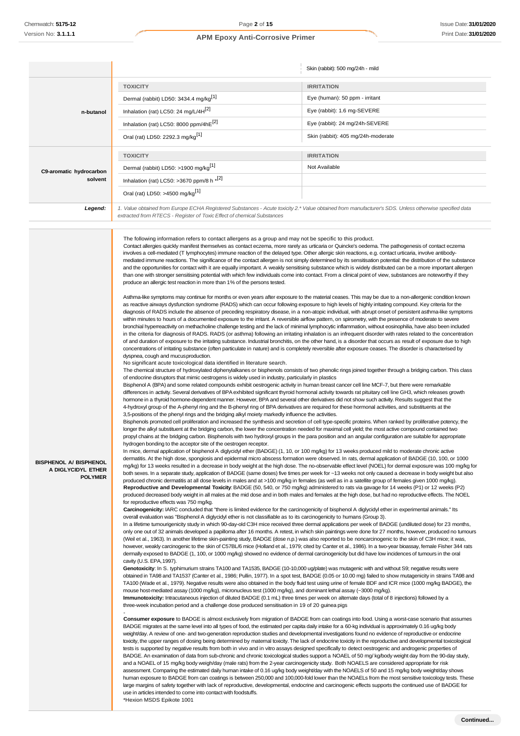**BISPHENOL A/ BISPHENOL A DIGLYCIDYL ETHER POLYMER**

#### **APM Epoxy Anti-Corrosive Primer**

|                         |                                                                                                                                                                                                                                                                                                                                                                                                                                                                                                                                                                                                                                                                                                                                                                                                                                                                                                                                                                                                                                                                                                                                                                                                                                                                                                                                                                                                                                                                                     | Skin (rabbit): 500 mg/24h - mild   |
|-------------------------|-------------------------------------------------------------------------------------------------------------------------------------------------------------------------------------------------------------------------------------------------------------------------------------------------------------------------------------------------------------------------------------------------------------------------------------------------------------------------------------------------------------------------------------------------------------------------------------------------------------------------------------------------------------------------------------------------------------------------------------------------------------------------------------------------------------------------------------------------------------------------------------------------------------------------------------------------------------------------------------------------------------------------------------------------------------------------------------------------------------------------------------------------------------------------------------------------------------------------------------------------------------------------------------------------------------------------------------------------------------------------------------------------------------------------------------------------------------------------------------|------------------------------------|
|                         | <b>TOXICITY</b>                                                                                                                                                                                                                                                                                                                                                                                                                                                                                                                                                                                                                                                                                                                                                                                                                                                                                                                                                                                                                                                                                                                                                                                                                                                                                                                                                                                                                                                                     | <b>IRRITATION</b>                  |
|                         | Dermal (rabbit) LD50: 3434.4 mg/kg <sup>[1]</sup>                                                                                                                                                                                                                                                                                                                                                                                                                                                                                                                                                                                                                                                                                                                                                                                                                                                                                                                                                                                                                                                                                                                                                                                                                                                                                                                                                                                                                                   | Eye (human): 50 ppm - irritant     |
| n-butanol               | Inhalation (rat) LC50: 24 mg/L/4H[2]                                                                                                                                                                                                                                                                                                                                                                                                                                                                                                                                                                                                                                                                                                                                                                                                                                                                                                                                                                                                                                                                                                                                                                                                                                                                                                                                                                                                                                                | Eye (rabbit): 1.6 mg-SEVERE        |
|                         | Inhalation (rat) LC50: 8000 ppm/4hE[2]                                                                                                                                                                                                                                                                                                                                                                                                                                                                                                                                                                                                                                                                                                                                                                                                                                                                                                                                                                                                                                                                                                                                                                                                                                                                                                                                                                                                                                              | Eye (rabbit): 24 mg/24h-SEVERE     |
|                         | Oral (rat) LD50: 2292.3 mg/kg <sup>[1]</sup>                                                                                                                                                                                                                                                                                                                                                                                                                                                                                                                                                                                                                                                                                                                                                                                                                                                                                                                                                                                                                                                                                                                                                                                                                                                                                                                                                                                                                                        | Skin (rabbit): 405 mg/24h-moderate |
|                         | <b>TOXICITY</b>                                                                                                                                                                                                                                                                                                                                                                                                                                                                                                                                                                                                                                                                                                                                                                                                                                                                                                                                                                                                                                                                                                                                                                                                                                                                                                                                                                                                                                                                     | <b>IRRITATION</b>                  |
| C9-aromatic hydrocarbon | Dermal (rabbit) LD50: >1900 mg/kg <sup>[1]</sup>                                                                                                                                                                                                                                                                                                                                                                                                                                                                                                                                                                                                                                                                                                                                                                                                                                                                                                                                                                                                                                                                                                                                                                                                                                                                                                                                                                                                                                    | Not Available                      |
| solvent                 | Inhalation (rat) LC50: >3670 ppm/8 h *[2]                                                                                                                                                                                                                                                                                                                                                                                                                                                                                                                                                                                                                                                                                                                                                                                                                                                                                                                                                                                                                                                                                                                                                                                                                                                                                                                                                                                                                                           |                                    |
|                         | Oral (rat) LD50: >4500 mg/kg <sup>[1]</sup>                                                                                                                                                                                                                                                                                                                                                                                                                                                                                                                                                                                                                                                                                                                                                                                                                                                                                                                                                                                                                                                                                                                                                                                                                                                                                                                                                                                                                                         |                                    |
| Legend:                 | 1. Value obtained from Europe ECHA Registered Substances - Acute toxicity 2.* Value obtained from manufacturer's SDS. Unless otherwise specified data<br>extracted from RTECS - Register of Toxic Effect of chemical Substances                                                                                                                                                                                                                                                                                                                                                                                                                                                                                                                                                                                                                                                                                                                                                                                                                                                                                                                                                                                                                                                                                                                                                                                                                                                     |                                    |
|                         | The following information refers to contact allergens as a group and may not be specific to this product.<br>Contact allergies quickly manifest themselves as contact eczema, more rarely as urticaria or Quincke's oedema. The pathogenesis of contact eczema<br>involves a cell-mediated (T lymphocytes) immune reaction of the delayed type. Other allergic skin reactions, e.g. contact urticaria, involve antibody-<br>mediated immune reactions. The significance of the contact allergen is not simply determined by its sensitisation potential: the distribution of the substance<br>and the opportunities for contact with it are equally important. A weakly sensitising substance which is widely distributed can be a more important allergen<br>than one with stronger sensitising potential with which few individuals come into contact. From a clinical point of view, substances are noteworthy if they<br>produce an allergic test reaction in more than 1% of the persons tested.<br>Asthma-like symptoms may continue for months or even years after exposure to the material ceases. This may be due to a non-allergenic condition known<br>as reactive airways dysfunction syndrome (RADS) which can occur following exposure to high levels of highly irritating compound. Key criteria for the<br>diagnosis of RADS include the absence of preceding respiratory disease, in a non-atopic individual, with abrupt onset of persistent asthma-like symptoms |                                    |

Bisphenols promoted cell proliferation and increased the synthesis and secretion of cell type-specific proteins. When ranked by proliferative potency, the longer the alkyl substituent at the bridging carbon, the lower the concentration needed for maximal cell yield; the most active compound contained two propyl chains at the bridging carbon. Bisphenols with two hydroxyl groups in the para position and an angular configuration are suitable for appropriate hydrogen bonding to the acceptor site of the oestrogen receptor.

In mice, dermal application of bisphenol A diglycidyl ether (BADGE) (1, 10, or 100 mg/kg) for 13 weeks produced mild to moderate chronic active dermatitis. At the high dose, spongiosis and epidermal micro abscess formation were observed. In rats, dermal application of BADGE (10, 100, or 1000 mg/kg) for 13 weeks resulted in a decrease in body weight at the high dose. The no-observable effect level (NOEL) for dermal exposure was 100 mg/kg for both sexes. In a separate study, application of BADGE (same doses) five times per week for ~13 weeks not only caused a decrease in body weight but also produced chronic dermatitis at all dose levels in males and at >100 mg/kg in females (as well as in a satellite group of females given 1000 mg/kg). **Reproductive and Developmental Toxicity**: BADGE (50, 540, or 750 mg/kg) administered to rats via gavage for 14 weeks (P1) or 12 weeks (P2) produced decreased body weight in all males at the mid dose and in both males and females at the high dose, but had no reproductive effects. The NOEL for reproductive effects was 750 mg/kg.

**Carcinogenicity:** IARC concluded that "there is limited evidence for the carcinogenicity of bisphenol A diglycidyl ether in experimental animals." Its overall evaluation was "Bisphenol A diglycidyl ether is not classifiable as to its carcinogenicity to humans (Group 3).

In a lifetime tumourigenicity study in which 90-day-old C3H mice received three dermal applications per week of BADGE (undiluted dose) for 23 months, only one out of 32 animals developed a papilloma after 16 months. A retest, in which skin paintings were done for 27 months, however, produced no tumours (Weil et al., 1963). In another lifetime skin-painting study, BADGE (dose n.p.) was also reported to be noncarcinogenic to the skin of C3H mice; it was, however, weakly carcinogenic to the skin of C57BL/6 mice (Holland et al., 1979; cited by Canter et al., 1986). In a two-year bioassay, female Fisher 344 rats dermally exposed to BADGE (1, 100, or 1000 mg/kg) showed no evidence of dermal carcinogenicity but did have low incidences of tumours in the oral cavity (U.S. EPA,1997).

**Genotoxicity**: In S. typhimurium strains TA100 and TA1535, BADGE (10-10,000 ug/plate) was mutagenic with and without S9; negative results were obtained in TA98 and TA1537 (Canter et al., 1986; Pullin, 1977). In a spot test, BADGE (0.05 or 10.00 mg) failed to show mutagenicity in strains TA98 and TA100 (Wade et al., 1979). Negative results were also obtained in the body fluid test using urine of female BDF and ICR mice (1000 mg/kg BADGE), the mouse host-mediated assay (1000 mg/kg), micronucleus test (1000 mg/kg), and dominant lethal assay (~3000 mg/kg). **Immunotoxicity:** Intracutaneous injection of diluted BADGE (0.1 mL) three times per week on alternate days (total of 8 injections) followed by a three-week incubation period and a challenge dose produced sensitisation in 19 of 20 guinea pigs

**Consumer exposure** to BADGE is almost exclusively from migration of BADGE from can coatings into food. Using a worst-case scenario that assumes BADGE migrates at the same level into all types of food, the estimated per capita daily intake for a 60-kg individual is approximately 0.16 ug/kg body weight/day. A review of one- and two-generation reproduction studies and developmental investigations found no evidence of reproductive or endocrine toxicity, the upper ranges of dosing being determined by maternal toxicity. The lack of endocrine toxicity in the reproductive and developmental toxicological tests is supported by negative results from both in vivo and in vitro assays designed specifically to detect oestrogenic and androgenic properties of BADGE. An examination of data from sub-chronic and chronic toxicological studies support a NOAEL of 50 mg/ kg/body weight day from the 90-day study, and a NOAEL of 15 mg/kg body weigh/day (male rats) from the 2-year carcinogenicity study. Both NOAELS are considered appropriate for risk assessment. Comparing the estimated daily human intake of 0.16 ug/kg body weight/day with the NOAELS of 50 and 15 mg/kg body weight/day shows human exposure to BADGE from can coatings is between 250,000 and 100,000-fold lower than the NOAELs from the most sensitive toxicology tests. These large margins of safety together with lack of reproductive, developmental, endocrine and carcinogenic effects supports the continued use of BADGE for use in articles intended to come into contact with foodstuffs.

\*Hexion MSDS Epikote 1001

-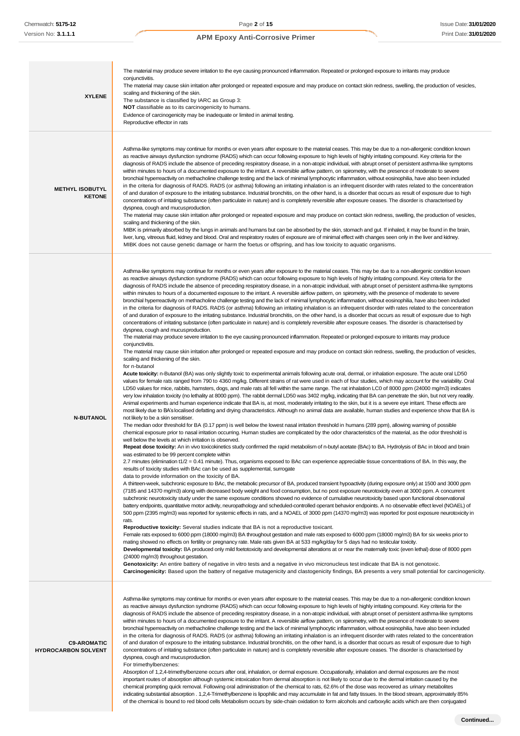| <b>XYLENE</b>                                    | The material may produce severe irritation to the eye causing pronounced inflammation. Repeated or prolonged exposure to irritants may produce<br>conjunctivitis.<br>The material may cause skin irritation after prolonged or repeated exposure and may produce on contact skin redness, swelling, the production of vesicles,<br>scaling and thickening of the skin.<br>The substance is classified by IARC as Group 3:<br>NOT classifiable as to its carcinogenicity to humans.<br>Evidence of carcinogenicity may be inadequate or limited in animal testing.<br>Reproductive effector in rats                                                                                                                                                                                                                                                                                                                                                                                                                                                                                                                                                                                                                                                                                                                                                                                                                                                                                                                                                                                                                                                                                                                                                                                                                                                                                                                                                                                                                                                                                                                                                                                                                                                                                                                                                                                                                                                                                                                                                                                                                                                                                                                                                                                                                                                                                                                                                                                                                                                                                                                                                                                                                                                                                                                                                                                                                                                                                                                                                                                                                                                                                                                                                                                                                                                                                                                                                                                                                                                                                                                                                                                                                                                                                                                                                                                                                                                                                                                                                                                                                                                                                                                                                                                                                                                                                                                                                                                                                                                                                                                                                                                                                                                                                                                                                                |
|--------------------------------------------------|-------------------------------------------------------------------------------------------------------------------------------------------------------------------------------------------------------------------------------------------------------------------------------------------------------------------------------------------------------------------------------------------------------------------------------------------------------------------------------------------------------------------------------------------------------------------------------------------------------------------------------------------------------------------------------------------------------------------------------------------------------------------------------------------------------------------------------------------------------------------------------------------------------------------------------------------------------------------------------------------------------------------------------------------------------------------------------------------------------------------------------------------------------------------------------------------------------------------------------------------------------------------------------------------------------------------------------------------------------------------------------------------------------------------------------------------------------------------------------------------------------------------------------------------------------------------------------------------------------------------------------------------------------------------------------------------------------------------------------------------------------------------------------------------------------------------------------------------------------------------------------------------------------------------------------------------------------------------------------------------------------------------------------------------------------------------------------------------------------------------------------------------------------------------------------------------------------------------------------------------------------------------------------------------------------------------------------------------------------------------------------------------------------------------------------------------------------------------------------------------------------------------------------------------------------------------------------------------------------------------------------------------------------------------------------------------------------------------------------------------------------------------------------------------------------------------------------------------------------------------------------------------------------------------------------------------------------------------------------------------------------------------------------------------------------------------------------------------------------------------------------------------------------------------------------------------------------------------------------------------------------------------------------------------------------------------------------------------------------------------------------------------------------------------------------------------------------------------------------------------------------------------------------------------------------------------------------------------------------------------------------------------------------------------------------------------------------------------------------------------------------------------------------------------------------------------------------------------------------------------------------------------------------------------------------------------------------------------------------------------------------------------------------------------------------------------------------------------------------------------------------------------------------------------------------------------------------------------------------------------------------------------------------------------------------------------------------------------------------------------------------------------------------------------------------------------------------------------------------------------------------------------------------------------------------------------------------------------------------------------------------------------------------------------------------------------------------------------------------------------------------------------------------------------------------------------------------------------------------------------------------------------------------------------------------------------------------------------------------------------------------------------------------------------------------------------------------------------------------------------------------------------------------------------------------------------------------------------------------------------------------------------------------------------------------------------------------------------------------------------|
| <b>METHYL ISOBUTYL</b><br><b>KETONE</b>          | Asthma-like symptoms may continue for months or even years after exposure to the material ceases. This may be due to a non-allergenic condition known<br>as reactive airways dysfunction syndrome (RADS) which can occur following exposure to high levels of highly irritating compound. Key criteria for the<br>diagnosis of RADS include the absence of preceding respiratory disease, in a non-atopic individual, with abrupt onset of persistent asthma-like symptoms<br>within minutes to hours of a documented exposure to the irritant. A reversible airflow pattern, on spirometry, with the presence of moderate to severe<br>bronchial hyperreactivity on methacholine challenge testing and the lack of minimal lymphocytic inflammation, without eosinophilia, have also been included<br>in the criteria for diagnosis of RADS. RADS (or asthma) following an irritating inhalation is an infrequent disorder with rates related to the concentration<br>of and duration of exposure to the irritating substance. Industrial bronchitis, on the other hand, is a disorder that occurs as result of exposure due to high<br>concentrations of irritating substance (often particulate in nature) and is completely reversible after exposure ceases. The disorder is characterised by<br>dyspnea, cough and mucus production.<br>The material may cause skin irritation after prolonged or repeated exposure and may produce on contact skin redness, swelling, the production of vesicles,<br>scaling and thickening of the skin.<br>MIBK is primarily absorbed by the lungs in animals and humans but can be absorbed by the skin, stomach and gut. If inhaled, it may be found in the brain,<br>liver, lung, vitreous fluid, kidney and blood. Oral and respiratory routes of exposure are of minimal effect with changes seen only in the liver and kidney.<br>MIBK does not cause genetic damage or harm the foetus or offspring, and has low toxicity to aquatic organisms.                                                                                                                                                                                                                                                                                                                                                                                                                                                                                                                                                                                                                                                                                                                                                                                                                                                                                                                                                                                                                                                                                                                                                                                                                                                                                                                                                                                                                                                                                                                                                                                                                                                                                                                                                                                                                                                                                                                                                                                                                                                                                                                                                                                                                                                                                                                                                                                                                                                                                                                                                                                                                                                                                                                                                                                                                                                                                                                                                                                                                                                                                                                                                                                                                                                                                                                                                                    |
| <b>N-BUTANOL</b>                                 | Asthma-like symptoms may continue for months or even years after exposure to the material ceases. This may be due to a non-allergenic condition known<br>as reactive airways dysfunction syndrome (RADS) which can occur following exposure to high levels of highly irritating compound. Key criteria for the<br>diagnosis of RADS include the absence of preceding respiratory disease, in a non-atopic individual, with abrupt onset of persistent asthma-like symptoms<br>within minutes to hours of a documented exposure to the irritant. A reversible airflow pattern, on spirometry, with the presence of moderate to severe<br>bronchial hyperreactivity on methacholine challenge testing and the lack of minimal lymphocytic inflammation, without eosinophilia, have also been included<br>in the criteria for diagnosis of RADS. RADS (or asthma) following an irritating inhalation is an infrequent disorder with rates related to the concentration<br>of and duration of exposure to the irritating substance. Industrial bronchitis, on the other hand, is a disorder that occurs as result of exposure due to high<br>concentrations of irritating substance (often particulate in nature) and is completely reversible after exposure ceases. The disorder is characterised by<br>dyspnea, cough and mucus production.<br>The material may produce severe irritation to the eye causing pronounced inflammation. Repeated or prolonged exposure to irritants may produce<br>conjunctivitis.<br>The material may cause skin irritation after prolonged or repeated exposure and may produce on contact skin redness, swelling, the production of vesicles,<br>scaling and thickening of the skin.<br>for n-butanol<br>Acute toxicity: n-Butanol (BA) was only slightly toxic to experimental animals following acute oral, dermal, or inhalation exposure. The acute oral LD50<br>values for female rats ranged from 790 to 4360 mg/kg. Different strains of rat were used in each of four studies, which may account for the variability. Oral<br>LD50 values for mice, rabbits, hamsters, dogs, and male rats all fell within the same range. The rat inhalation LC0 of 8000 ppm (24000 mg/m3) indicates<br>very low inhalation toxicity (no lethality at 8000 ppm). The rabbit dermal LD50 was 3402 mg/kg, indicating that BA can penetrate the skin, but not very readily.<br>Animal experiments and human experience indicate that BA is, at most, moderately irritating to the skin, but it is a severe eye irritant. These effects are<br>most likely due to BA's localised defatting and drying characteristics. Although no animal data are available, human studies and experience show that BA is<br>not likely to be a skin sensitiser.<br>The median odor threshold for BA (0.17 ppm) is well below the lowest nasal irritation threshold in humans (289 ppm), allowing warning of possible<br>chemical exposure prior to nasal irritation occurring. Human studies are complicated by the odor characteristics of the material, as the odor threshold is<br>well below the levels at which irritation is observed.<br>Repeat dose toxicity: An in vivo toxicokinetics study confirmed the rapid metabolism of n-butyl acetate (BAc) to BA. Hydrolysis of BAc in blood and brain<br>was estimated to be 99 percent complete within<br>2.7 minutes (elimination t1/2 = 0.41 minute). Thus, organisms exposed to BAc can experience appreciable tissue concentrations of BA. In this way, the<br>results of toxicity studies with BAc can be used as supplemental, surrogate<br>data to provide information on the toxicity of BA.<br>A thirteen-week, subchronic exposure to BAc, the metabolic precursor of BA, produced transient hypoactivity (during exposure only) at 1500 and 3000 ppm<br>(7185 and 14370 mg/m3) along with decreased body weight and food consumption, but no post exposure neurotoxicity even at 3000 ppm. A concurrent<br>subchronic neurotoxicity study under the same exposure conditions showed no evidence of cumulative neurotoxicity based upon functional observational<br>battery endpoints, quantitative motor activity, neuropathology and scheduled-controlled operant behavior endpoints. A no observable effect level (NOAEL) of<br>500 ppm (2395 mg/m3) was reported for systemic effects in rats, and a NOAEL of 3000 ppm (14370 mg/m3) was reported for post exposure neurotoxicity in<br>rats.<br>Reproductive toxicity: Several studies indicate that BA is not a reproductive toxicant.<br>Female rats exposed to 6000 ppm (18000 mg/m3) BA throughout gestation and male rats exposed to 6000 ppm (18000 mg/m3) BA for six weeks prior to<br>mating showed no effects on fertility or pregnancy rate. Male rats given BA at 533 mg/kg/day for 5 days had no testicular toxicity.<br>Developmental toxicity: BA produced only mild foetotoxicity and developmental alterations at or near the matemally toxic (even lethal) dose of 8000 ppm<br>(24000 mg/m3) throughout gestation.<br>Genotoxicity: An entire battery of negative in vitro tests and a negative in vivo micronucleus test indicate that BA is not genotoxic.<br>Carcinogenicity: Based upon the battery of negative mutagenicity and clastogenicity findings, BA presents a very small potential for carcinogenicity. |
| <b>C9-AROMATIC</b><br><b>HYDROCARBON SOLVENT</b> | Asthma-like symptoms may continue for months or even years after exposure to the material ceases. This may be due to a non-allergenic condition known<br>as reactive airways dysfunction syndrome (RADS) which can occur following exposure to high levels of highly irritating compound. Key criteria for the<br>diagnosis of RADS include the absence of preceding respiratory disease, in a non-atopic individual, with abrupt onset of persistent asthma-like symptoms<br>within minutes to hours of a documented exposure to the irritant. A reversible airflow pattern, on spirometry, with the presence of moderate to severe<br>bronchial hyperreactivity on methacholine challenge testing and the lack of minimal lymphocytic inflammation, without eosinophilia, have also been included<br>in the criteria for diagnosis of RADS. RADS (or asthma) following an irritating inhalation is an infrequent disorder with rates related to the concentration<br>of and duration of exposure to the irritating substance. Industrial bronchitis, on the other hand, is a disorder that occurs as result of exposure due to high<br>concentrations of irritating substance (often particulate in nature) and is completely reversible after exposure ceases. The disorder is characterised by<br>dyspnea, cough and mucus production.<br>For trimethylbenzenes:<br>Absorption of 1,2,4-trimethylbenzene occurs after oral, inhalation, or dermal exposure. Occupationally, inhalation and dermal exposures are the most<br>important routes of absorption although systemic intoxication from dermal absorption is not likely to occur due to the dermal irritation caused by the<br>chemical prompting quick removal. Following oral administration of the chemical to rats, 62.6% of the dose was recovered as urinary metabolites<br>indicating substantial absorption . 1,2,4-Trimethylbenzene is lipophilic and may accumulate in fat and fatty tissues. In the blood stream, approximately 85%                                                                                                                                                                                                                                                                                                                                                                                                                                                                                                                                                                                                                                                                                                                                                                                                                                                                                                                                                                                                                                                                                                                                                                                                                                                                                                                                                                                                                                                                                                                                                                                                                                                                                                                                                                                                                                                                                                                                                                                                                                                                                                                                                                                                                                                                                                                                                                                                                                                                                                                                                                                                                                                                                                                                                                                                                                                                                                                                                                                                                                                                                                                                                                                                                                                                                                                                                         |

of the chemical is bound to red blood cells Metabolism occurs by side-chain oxidation to form alcohols and carboxylic acids which are then conjugated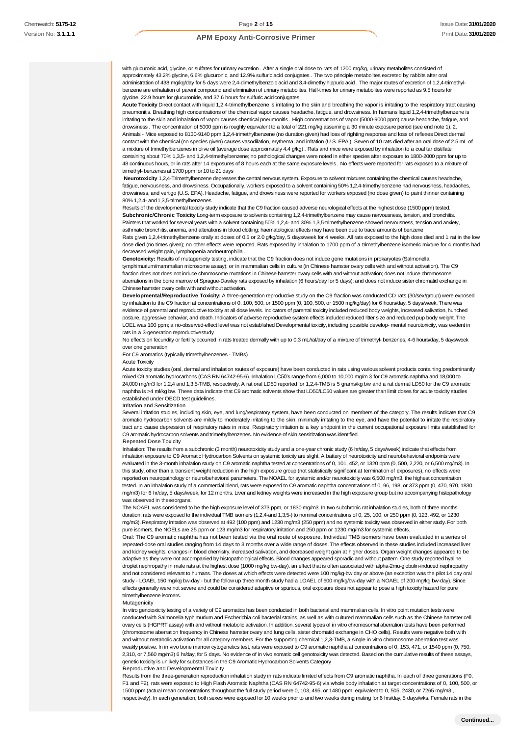with glucuronic acid, glycine, or sulfates for urinary excretion . After a single oral dose to rats of 1200 mg/kg, urinary metabolites consisted of approximately 43.2% glycine, 6.6% glucuronic, and 12.9% sulfuric acid conjugates . The two principle metabolites excreted by rabbits after oral administration of 438 mg/kg/day for 5 days were 2,4-dimethylbenzoic acid and 3,4-dimethylhippuric acid . The major routes of excretion of 1,2,4-trimethylbenzene are exhalation of parent compound and elimination of urinary metabolites. Half-times for urinary metabolites were reported as 9.5 hours for glycine, 22.9 hours for glucuronide, and 37.6 hours for sulfuric acidconjugates.

**Acute Toxicity** Direct contact with liquid 1,2,4-trimethylbenzene is irritating to the skin and breathing the vapor is irritating to the respiratory tract causing pneumonitis. Breathing high concentrations of the chemical vapor causes headache, fatigue, and drowsiness. In humans liquid 1,2,4-trimethylbenzene is irritating to the skin and inhalation of vapor causes chemical pneumonitis . High concentrations of vapor (5000-9000 ppm) cause headache, fatigue, and drowsiness . The concentration of 5000 ppm is roughly equivalent to a total of 221 mg/kg assuming a 30 minute exposure period (see end note 1). 2. Animals - Mice exposed to 8130-9140 ppm 1,2,4-trimethylbenzene (no duration given) had loss of righting response and loss of reflexes Direct dermal contact with the chemical (no species given) causes vasodilation, erythema, and irritation (U.S. EPA ). Seven of 10 rats died after an oral dose of 2.5 mL of a mixture of trimethylbenzenes in olive oil (average dose approximately 4.4 g/kg) . Rats and mice were exposed by inhalation to a coal tar distillate containing about 70% 1,3,5- and 1,2,4-trimethylbenzene; no pathological changes were noted in either species after exposure to 1800-2000 ppm for up to 48 continuous hours, or in rats after 14 exposures of 8 hours each at the same exposure levels . No effects were reported for rats exposed to a mixture of trimethyl- benzenes at 1700 ppm for 10 to 21 days

**Neurotoxicity** 1,2,4-Trimethylbenzene depresses the central nervous system. Exposure to solvent mixtures containing the chemical causes headache, fatigue, nervousness, and drowsiness. Occupationally, workers exposed to a solvent containing 50% 1,2,4-trimethylbenzene had nervousness, headaches, drowsiness, and vertigo (U.S. EPA). Headache, fatigue, and drowsiness were reported for workers exposed (no dose given) to paint thinner containing 80% 1,2,4- and 1,3,5-trimethylbenzenes

Results of the developmental toxicity study indicate that the C9 fraction caused adverse neurological effects at the highest dose (1500 ppm) tested. Subchronic/Chronic Toxicity Long-term exposure to solvents containing 1,2,4-trimethylbenzene may cause nervousness, tension, and bronchitis. Painters that worked for several years with a solvent containing 50% 1,2,4- and 30% 1,3,5-trimethylbenzene showed nervousness, tension and anxiety, asthmatic bronchitis, anemia, and alterations in blood clotting; haematological effects may have been due to trace amounts of benzene

Rats given 1,2,4-trimethylbenzene orally at doses of 0.5 or 2.0 g/kg/day, 5 days/week for 4 weeks. All rats exposed to the high dose died and 1 rat in the low dose died (no times given); no other effects were reported. Rats exposed by inhalation to 1700 ppm of a trimethylbenzene isomeric mixture for 4 months had decreased weight gain, lymphopenia andneutrophilia .

Genotoxicity: Results of mutagenicity testing, indicate that the C9 fraction does not induce gene mutations in prokaryotes (Salmonella tymphimurium/mammalian microsome assay); or in mammalian cells in culture (in Chinese hamster ovary cells with and without activation). The C9 fraction does not does not induce chromosome mutations in Chinese hamster ovary cells with and without activation; does not induce chromosome aberrations in the bone marrow of Sprague-Dawley rats exposed by inhalation (6 hours/day for 5 days); and does not induce sister chromatid exchange in Chinese hamster ovary cells with and without activation.

**Developmental/Reproductive Toxicity:** A three-generation reproductive study on the C9 fraction was conducted CD rats (30/sex/group) were exposed by inhalation to the C9 fraction at concentrations of 0, 100, 500, or 1500 ppm (0, 100, 500, or 1500 mg/kg/day) for 6 hours/day, 5 days/week. There was evidence of parental and reproductive toxicity at all dose levels. Indicators of parental toxicity included reduced body weights, increased salivation, hunched posture, aggressive behavior, and death. Indicators of adverse reproductive system effects included reduced litter size and reduced pup body weight. The LOEL was 100 ppm; a no-observed-effect level was not established Developmental toxicity, including possible develop- mental neurotoxicity, was evident in rats in a 3-generation reproductive study

No effects on fecundity or fertility occurred in rats treated dermally with up to 0.3 mL/rat/day of a mixture of trimethyl- benzenes, 4-6 hours/day, 5 days/week over one generation

For C9 aromatics (typically trimethylbenzenes - TMBs)

Acute Toxicity

Acute toxicity studies (oral, dermal and inhalation routes of exposure) have been conducted in rats using various solvent products containing predominantly mixed C9 aromatic hydrocarbons (CAS RN 64742-95-6). Inhalation LC50's range from 6,000 to 10,000 mg/m 3 for C9 aromatic naphtha and 18,000 to 24,000 mg/m3 for 1,2,4 and 1,3,5-TMB, respectively. A rat oral LD50 reported for 1,2,4-TMB is 5 grams/kg bw and a rat dermal LD50 for the C9 aromatic naphtha is >4 ml/kg bw. These data indicate that C9 aromatic solvents show that LD50/LC50 values are greater than limit doses for acute toxicity studies established under OECD test guidelines.

#### Irritation and Sensitization

Several irritation studies, including skin, eye, and lung/respiratory system, have been conducted on members of the category. The results indicate that C9 aromatic hydrocarbon solvents are mildly to moderately irritating to the skin, minimally irritating to the eye, and have the potential to irritate the respiratory tract and cause depression of respiratory rates in mice. Respiratory irritation is a key endpoint in the current occupational exposure limits established for C9 aromatic hydrocarbon solvents and trimethylbenzenes. No evidence of skin sensitization was identified.

#### Repeated Dose Toxicity

Inhalation: The results from a subchronic (3 month) neurotoxicity study and a one-year chronic study (6 hr/day, 5 days/week) indicate that effects from inhalation exposure to C9 Aromatic Hydrocarbon Solvents on systemic toxicity are slight. A battery of neurotoxicity and neurobehavioral endpoints were evaluated in the 3-month inhalation study on C9 aromatic naphtha tested at concentrations of 0, 101, 452, or 1320 ppm (0, 500, 2,220, or 6,500 mg/m3). In this study, other than a transient weight reduction in the high exposure group (not statistically significant at termination of exposures), no effects were reported on neuropathology or neuro/behavioral parameters. The NOAEL for systemic and/or neurotoxicity was 6,500 mg/m3, the highest concentration sted. In an inhalation study of a commercial blend, rats were exposed to C9 aromatic naphtha concentrations of 0, 96, 198, or 373 ppm (0, 470, 970, 1830 mg/m3) for 6 hr/day, 5 days/week, for 12 months. Liver and kidney weights were increased in the high exposure group but no accompanying histopathology was observed in theseorgans.

The NOAEL was considered to be the high exposure level of 373 ppm, or 1830 mg/m3. In two subchronic rat inhalation studies, both of three months duration, rats were exposed to the individual TMB isomers (1,2,4-and 1,3,5-) to nominal concentrations of 0, 25, 100, or 250 ppm (0, 123, 492, or 1230 mg/m3). Respiratory irritation was observed at 492 (100 ppm) and 1230 mg/m3 (250 ppm) and no systemic toxicity was observed in either study. For both pure isomers, the NOELs are 25 ppm or 123 mg/m3 for respiratory irritation and 250 ppm or 1230 mg/m3 for systemic effects.

Oral: The C9 aromatic naphtha has not been tested via the oral route of exposure. Individual TMB isomers have been evaluated in a series of repeated-dose oral studies ranging from 14 days to 3 months over a wide range of doses. The effects observed in these studies included increased liver and kidney weights, changes in blood chemistry, increased salivation, and decreased weight gain at higher doses. Organ weight changes appeared to be adaptive as they were not accompanied by histopathological effects. Blood changes appeared sporadic and without pattern. One study reported hyaline droplet nephropathy in male rats at the highest dose (1000 mg/kg bw-day), an effect that is often associated with alpha-2mu-globulin-induced nephropathy and not considered relevant to humans. The doses at which effects were detected were 100 mg/kg-bw day or above (an exception was the pilot 14 day oral study - LOAEL 150 mg/kg bw-day - but the follow up three month study had a LOAEL of 600 mg/kg/bw-day with a NOAEL of 200 mg/kg bw-day). Since effects generally were not severe and could be considered adaptive or spurious, oral exposure does not appear to pose a high toxicity hazard for pure trimethylbenzene isomers.

Mutagenicity

In vitro genotoxicity testing of a variety of C9 aromatics has been conducted in both bacterial and mammalian cells. In vitro point mutation tests were conducted with Salmonella typhimurium and Escherichia coli bacterial strains, as well as with cultured mammalian cells such as the Chinese hamster cell ovary cells (HGPRT assay) with and without metabolic activation. In addition, several types of in vitro chromosomal aberration tests have been performed (chromosome aberration frequency in Chinese hamster ovary and lung cells, sister chromatid exchange in CHO cells). Results were negative both with and without metabolic activation for all category members. For the supporting chemical 1,2,3-TMB, a single in vitro chromosome aberration test was weakly positive. In in vivo bone marrow cytogenetics test, rats were exposed to C9 aromatic naphtha at concentrations of 0, 153, 471, or 1540 ppm (0, 750, 2,310, or 7,560 mg/m3) 6 hr/day, for 5 days. No evidence of in vivo somatic cell genotoxicity was detected. Based on the cumulative results of these assays, genetic toxicity is unlikely for substances in the C9 Aromatic Hydrocarbon Solvents Category

#### Reproductive and Developmental Toxicity

Results from the three-generation reproduction inhalation study in rats indicate limited effects from C9 aromatic naphtha. In each of three generations (F0, F1 and F2), rats were exposed to High Flash Aromatic Naphtha (CAS RN 64742-95-6) via whole body inhalation at target concentrations of 0, 100, 500, or 1500 ppm (actual mean concentrations throughout the full study period were 0, 103, 495, or 1480 ppm, equivalent to 0, 505, 2430, or 7265 mg/m3 , respectively). In each generation, both sexes were exposed for 10 weeks prior to and two weeks during mating for 6 hrs/day, 5 days/wks. Female rats in the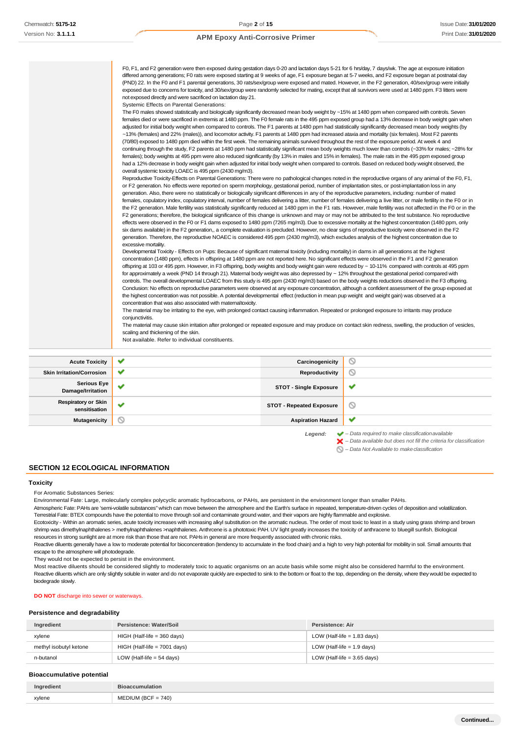| <b>Acute Toxicity</b> |                                                                                                                                                                                                                                                                                                                                            | Carcinogenicity | ◎<br>$\circ$ |
|-----------------------|--------------------------------------------------------------------------------------------------------------------------------------------------------------------------------------------------------------------------------------------------------------------------------------------------------------------------------------------|-----------------|--------------|
|                       |                                                                                                                                                                                                                                                                                                                                            |                 |              |
|                       |                                                                                                                                                                                                                                                                                                                                            |                 |              |
|                       | Not available. Refer to individual constituents.                                                                                                                                                                                                                                                                                           |                 |              |
|                       | scaling and thickening of the skin.                                                                                                                                                                                                                                                                                                        |                 |              |
|                       | The material may cause skin irritation after prolonged or repeated exposure and may produce on contact skin redness, swelling, the production of vesicles,                                                                                                                                                                                 |                 |              |
|                       | The material may be irritating to the eye, with prolonged contact causing inflammation. Repeated or prolonged exposure to irritants may produce<br>conjunctivitis.                                                                                                                                                                         |                 |              |
|                       | concentration that was also associated with maternal toxicity.                                                                                                                                                                                                                                                                             |                 |              |
|                       | the highest concentration was not possible. A potential developmental effect (reduction in mean pup weight and weight gain) was observed at a                                                                                                                                                                                              |                 |              |
|                       | Conclusion: No effects on reproductive parameters were observed at any exposure concentration, although a confident assessment of the group exposed at                                                                                                                                                                                     |                 |              |
|                       | controls. The overall developmental LOAEC from this study is 495 ppm (2430 mg/m3) based on the body weights reductions observed in the F3 offspring.                                                                                                                                                                                       |                 |              |
|                       | offspring at 103 or 495 ppm. However, in F3 offspring, body weights and body weight gain were reduced by ~ 10-11% compared with controls at 495 ppm<br>for approximately a week (PND 14 through 21). Maternal body weight was also depressed by ~ 12% throughout the gestational period compared with                                      |                 |              |
|                       | concentration (1480 ppm), effects in offspring at 1480 ppm are not reported here. No significant effects were observed in the F1 and F2 generation                                                                                                                                                                                         |                 |              |
|                       | Developmental Toxicity - Effects on Pups: Because of significant matemal toxicity (including mortality) in dams in all generations at the highest                                                                                                                                                                                          |                 |              |
|                       | excessive mortality.                                                                                                                                                                                                                                                                                                                       |                 |              |
|                       | generation. Therefore, the reproductive NOAEC is considered 495 ppm (2430 mg/m3), which excludes analysis of the highest concentration due to                                                                                                                                                                                              |                 |              |
|                       | six dams available) in the F2 generation,, a complete evaluation is precluded. However, no clear signs of reproductive toxicity were observed in the F2                                                                                                                                                                                    |                 |              |
|                       | effects were observed in the F0 or F1 dams exposed to 1480 ppm (7265 mg/m3). Due to excessive mortality at the highest concentration (1480 ppm, only                                                                                                                                                                                       |                 |              |
|                       | F2 generations; therefore, the biological significance of this change is unknown and may or may not be attributed to the test substance. No reproductive                                                                                                                                                                                   |                 |              |
|                       | females, copulatory index, copulatory interval, number of females delivering a litter, number of females delivering a live litter, or male fertility in the F0 or in<br>the F2 generation. Male fertility was statistically significantly reduced at 1480 ppm in the F1 rats. However, male fertility was not affected in the F0 or in the |                 |              |
|                       | generation. Also, there were no statistically or biologically significant differences in any of the reproductive parameters, including: number of mated                                                                                                                                                                                    |                 |              |
|                       | or F2 generation. No effects were reported on sperm morphology, gestational period, number of implantation sites, or post-implantation loss in any                                                                                                                                                                                         |                 |              |
|                       | Reproductive Toxicity-Effects on Parental Generations: There were no pathological changes noted in the reproductive organs of any animal of the F0, F1,                                                                                                                                                                                    |                 |              |
|                       | overall systemic toxicity LOAEC is 495 ppm (2430 mq/m3).                                                                                                                                                                                                                                                                                   |                 |              |
|                       | had a 12% decrease in body weight gain when adjusted for initial body weight when compared to controls. Based on reduced body weight observed, the                                                                                                                                                                                         |                 |              |
|                       | females); body weights at 495 ppm were also reduced significantly (by 13% in males and 15% in females). The male rats in the 495 ppm exposed group                                                                                                                                                                                         |                 |              |
|                       | continuing through the study, F2 parents at 1480 ppm had statistically significant mean body weights much lower than controls (~33% for males; ~28% for                                                                                                                                                                                    |                 |              |
|                       | (70/80) exposed to 1480 ppm died within the first week. The remaining animals survived throughout the rest of the exposure period. At week 4 and                                                                                                                                                                                           |                 |              |
|                       | ~13% (females) and 22% (males)), and locomotor activity. F1 parents at 1480 ppm had increased ataxia and mortality (six females). Most F2 parents                                                                                                                                                                                          |                 |              |
|                       | adjusted for initial body weight when compared to controls. The F1 parents at 1480 ppm had statistically significantly decreased mean body weights (by                                                                                                                                                                                     |                 |              |
|                       | The F0 males showed statistically and biologically significantly decreased mean body weight by ~15% at 1480 ppm when compared with controls. Seven<br>females died or were sacrificed in extremis at 1480 ppm. The F0 female rats in the 495 ppm exposed group had a 13% decrease in body weight gain when                                 |                 |              |
|                       | Systemic Effects on Parental Generations:                                                                                                                                                                                                                                                                                                  |                 |              |
|                       | not exposed directly and were sacrificed on lactation day 21.                                                                                                                                                                                                                                                                              |                 |              |
|                       | exposed due to concerns for toxicity, and 30/sex/group were randomly selected for mating, except that all survivors were used at 1480 ppm. F3 litters were                                                                                                                                                                                 |                 |              |
|                       | (PND) 22. In the F0 and F1 parental generations, 30 rats/sex/group were exposed and mated. However, in the F2 generation, 40/sex/group were initially                                                                                                                                                                                      |                 |              |
|                       | differed among generations; F0 rats were exposed starting at 9 weeks of age, F1 exposure began at 5-7 weeks, and F2 exposure began at postnatal day                                                                                                                                                                                        |                 |              |
|                       |                                                                                                                                                                                                                                                                                                                                            |                 |              |

| <b>Acute Toxicity</b>                       | $\checkmark$ | Carcinogenicity                 | ∾                                                                      |
|---------------------------------------------|--------------|---------------------------------|------------------------------------------------------------------------|
| <b>Skin Irritation/Corrosion</b>            | $\checkmark$ | Reproductivity                  | $\circledcirc$                                                         |
| <b>Serious Eye</b><br>Damage/Irritation     | $\checkmark$ | <b>STOT - Single Exposure</b>   | ✔                                                                      |
| <b>Respiratory or Skin</b><br>sensitisation | $\checkmark$ | <b>STOT - Repeated Exposure</b> | $\circ$                                                                |
| Mutagenicity                                | $\circ$      | <b>Aspiration Hazard</b>        | ✔                                                                      |
|                                             |              | Legend:                         | $\blacktriangleright$ - Data required to make classification available |

*– Data available but does not fill the criteria for classification*

*– Data Not Available to makeclassification*

### **SECTION 12 ECOLOGICAL INFORMATION**

### **Toxicity**

For Aromatic Substances Series:

Environmental Fate: Large, molecularly complex polycyclic aromatic hydrocarbons, or PAHs, are persistent in the environment longer than smaller PAHs.

Atmospheric Fate: PAHs are 'semi-volatile substances" which can move between the atmosphere and the Earth's surface in repeated, temperature-driven cycles of deposition and volatilization. Terrestrial Fate: BTEX compounds have the potential to move through soil and contaminate ground water, and their vapors are highly flammable and explosive.

Ecotoxicity - Within an aromatic series, acute toxicity increases with increasing alkyl substitution on the aromatic nucleus. The order of most toxic to least in a study using grass shrimp and brown shrimp was dimethylnaphthalenes > methylnaphthalenes >naphthalenes. Anthrcene is a phototoxic PAH. UV light greatly increases the toxicity of anthracene to bluegill sunfish. Biological resources in strong sunlight are at more risk than those that are not. PAHs in general are more frequently associated with chronic risks.

Reactive diluents generally have a low to moderate potential for bioconcentration (tendency to accumulate in the food chain) and a high to very high potential for mobility in soil. Small amounts that escape to the atmosphere will photodegrade.

They would not be expected to persist in the environment.

Most reactive diluents should be considered slightly to moderately toxic to aquatic organisms on an acute basis while some might also be considered harmful to the environment. Reactive diluents which are only slightly soluble in water and do not evaporate quickly are expected to sink to the bottom or float to the top, depending on the density, where they would be expected to biodegrade slowly.

**DO NOT** discharge into sewer or waterways.

#### **Persistence and degradability**

| Ingredient             | Persistence: Water/Soil        | Persistence: Air              |
|------------------------|--------------------------------|-------------------------------|
| xylene                 | $HIGH$ (Half-life = 360 days)  | LOW (Half-life $= 1.83$ days) |
| methyl isobutyl ketone | $HIGH$ (Half-life = 7001 days) | LOW (Half-life $= 1.9$ days)  |
| n-butanol              | LOW (Half-life $= 54$ days)    | LOW (Half-life $=$ 3.65 days) |

### **Bioaccumulative potential**

| Ingredient | <b>Bioaccumulation</b> |
|------------|------------------------|
| xylene     | $MEDIUM (BCF = 740)$   |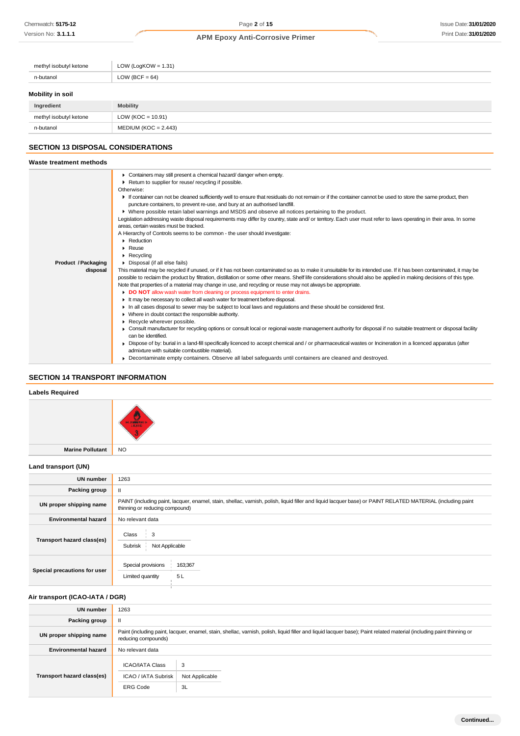| methyl isobutyl ketone | LOW (LogKOW = $1.31$ ) |
|------------------------|------------------------|
| n-butanol              | LOW (BCF = $64$ )      |
| Mobility in soil       |                        |
| Ingredient             | <b>Mobility</b>        |
| methyl isobutyl ketone | LOW ( $KOC = 10.91$ )  |

## **SECTION 13 DISPOSAL CONSIDERATIONS**

n-butanol MEDIUM (KOC = 2.443)

#### **Waste treatment methods** Containers may still present a chemical hazard/ danger when empty. Return to supplier for reuse/ recycling if possible. Otherwise: If container can not be cleaned sufficiently well to ensure that residuals do not remain or if the container cannot be used to store the same product, then puncture containers, to prevent re-use, and bury at an authorised landfill. Where possible retain label warnings and MSDS and observe all notices pertaining to the product. Legislation addressing waste disposal requirements may differ by country, state and/ or territory. Each user must refer to laws operating in their area. In some areas, certain wastes must be tracked. A Hierarchy of Controls seems to be common - the user should investigate: **Reduction Reuse** Recycling **Product /Packaging** Disposal (if all else fails) **disposal** This material may be recycled if unused, or if it has not been contaminated so as to make it unsuitable for its intended use. If it has been contaminated, it may be possible to reclaim the product by filtration, distillation or some other means. Shelf life considerations should also be applied in making decisions of this type. Note that properties of a material may change in use, and recycling or reuse may not always be appropriate. **DO NOT** allow wash water from cleaning or process equipment to enter drains. It may be necessary to collect all wash water for treatment before disposal. In all cases disposal to sewer may be subject to local laws and regulations and these should be considered first. Where in doubt contact the responsible authority.  $\mathbf{r}$ Recycle wherever possible. ٠ ▶ Consult manufacturer for recycling options or consult local or regional waste management authority for disposal if no suitable treatment or disposal facility can be identified. Dispose of by: burial in a land-fill specifically licenced to accept chemical and / or pharmaceutical wastes or Incineration in a licenced apparatus (after admixture with suitable combustible material). Decontaminate empty containers. Observe all label safeguards until containers are cleaned and destroyed.

### **SECTION 14 TRANSPORT INFORMATION**

#### **Labels Required**



**Marine Pollutant** NO

### **Land transport (UN)**

| <b>UN number</b>             | 1263                                                                                                                                                                                          |  |  |
|------------------------------|-----------------------------------------------------------------------------------------------------------------------------------------------------------------------------------------------|--|--|
| Packing group                | Ш                                                                                                                                                                                             |  |  |
| UN proper shipping name      | PAINT (including paint, lacquer, enamel, stain, shellac, varnish, polish, liquid filler and liquid lacquer base) or PAINT RELATED MATERIAL (including paint<br>thinning or reducing compound) |  |  |
| <b>Environmental hazard</b>  | No relevant data                                                                                                                                                                              |  |  |
| Transport hazard class(es)   | 3<br>Class<br>Subrisk<br>Not Applicable                                                                                                                                                       |  |  |
| Special precautions for user | Special provisions<br>163;367<br>5L<br>Limited quantity                                                                                                                                       |  |  |

### **Air transport (ICAO-IATA / DGR)**

| UN number                   | 1263                                                                                                                                                                                         |                           |  |  |
|-----------------------------|----------------------------------------------------------------------------------------------------------------------------------------------------------------------------------------------|---------------------------|--|--|
| Packing group               | Ш                                                                                                                                                                                            |                           |  |  |
| UN proper shipping name     | Paint (including paint, lacquer, enamel, stain, shellac, varnish, polish, liquid filler and liquid lacquer base); Paint related material (including paint thinning or<br>reducing compounds) |                           |  |  |
| <b>Environmental hazard</b> | No relevant data                                                                                                                                                                             |                           |  |  |
| Transport hazard class(es)  | <b>ICAO/IATA Class</b><br>ICAO / IATA Subrisk<br><b>ERG Code</b>                                                                                                                             | 3<br>Not Applicable<br>3L |  |  |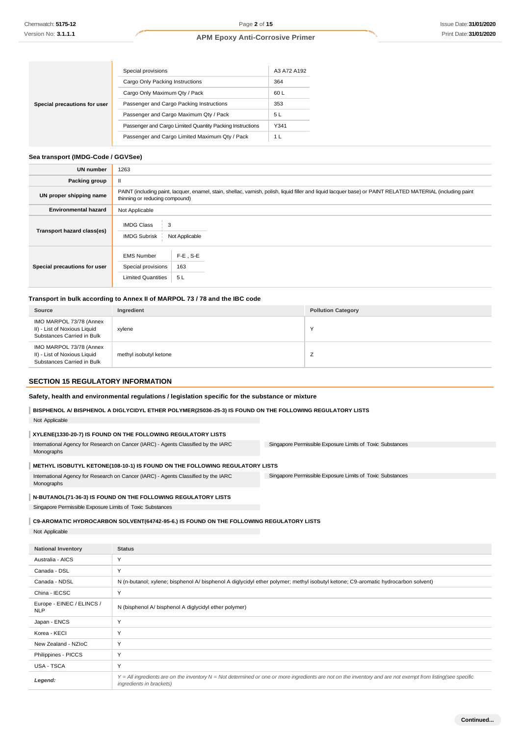|                              | Special provisions                                        | A3 A72 A192 |
|------------------------------|-----------------------------------------------------------|-------------|
|                              | Cargo Only Packing Instructions                           | 364         |
|                              | Cargo Only Maximum Qty / Pack                             | 60 L        |
| Special precautions for user | Passenger and Cargo Packing Instructions                  | 353         |
|                              | Passenger and Cargo Maximum Qty / Pack                    | 5 L         |
|                              | Passenger and Cargo Limited Quantity Packing Instructions | Y341        |
|                              | Passenger and Cargo Limited Maximum Qty / Pack            | 1 L         |

### **Sea transport (IMDG-Code / GGVSee)**

| <b>UN number</b>             | 1263                                                                                                                                                                                          |                          |  |  |
|------------------------------|-----------------------------------------------------------------------------------------------------------------------------------------------------------------------------------------------|--------------------------|--|--|
| Packing group                | $\mathbf{I}$                                                                                                                                                                                  |                          |  |  |
| UN proper shipping name      | PAINT (including paint, lacquer, enamel, stain, shellac, varnish, polish, liquid filler and liquid lacquer base) or PAINT RELATED MATERIAL (including paint<br>thinning or reducing compound) |                          |  |  |
| <b>Environmental hazard</b>  | Not Applicable                                                                                                                                                                                |                          |  |  |
| Transport hazard class(es)   | <b>IMDG Class</b><br>3<br><b>IMDG Subrisk</b><br>Not Applicable                                                                                                                               |                          |  |  |
| Special precautions for user | <b>EMS Number</b><br>Special provisions<br><b>Limited Quantities</b>                                                                                                                          | $F-E$ , S-E<br>163<br>5L |  |  |

### **Transport in bulk according to Annex II of MARPOL 73 / 78 and the IBC code**

| Source                                                                                | Ingredient             | <b>Pollution Category</b> |
|---------------------------------------------------------------------------------------|------------------------|---------------------------|
| IMO MARPOL 73/78 (Annex<br>II) - List of Noxious Liquid<br>Substances Carried in Bulk | xylene                 | $\sqrt{}$                 |
| IMO MARPOL 73/78 (Annex<br>II) - List of Noxious Liquid<br>Substances Carried in Bulk | methyl isobutyl ketone | <u>_</u>                  |

### **SECTION 15 REGULATORY INFORMATION**

| Safety, health and environmental regulations / legislation specific for the substance or mixture |  |  |  |  |  |  |  |  |
|--------------------------------------------------------------------------------------------------|--|--|--|--|--|--|--|--|
|--------------------------------------------------------------------------------------------------|--|--|--|--|--|--|--|--|

### **BISPHENOL A/ BISPHENOL A DIGLYCIDYL ETHER POLYMER(25036-25-3) IS FOUND ON THE FOLLOWING REGULATORY LISTS**

Not Applicable

### **XYLENE(1330-20-7) IS FOUND ON THE FOLLOWING REGULATORY LISTS**

Singapore Permissible Exposure Limits of Toxic Substances International Agency for Research on Cancer (IARC) - Agents Classified by the IARC Monographs

#### **METHYL ISOBUTYL KETONE(108-10-1) IS FOUND ON THE FOLLOWING REGULATORY LISTS**

Singapore Permissible Exposure Limits of Toxic Substances International Agency for Research on Cancer (IARC) - Agents Classified by the IARC Monographs

### **N-BUTANOL(71-36-3) IS FOUND ON THE FOLLOWING REGULATORY LISTS**

Singapore Permissible Exposure Limits of Toxic Substances

### **C9-AROMATIC HYDROCARBON SOLVENT(64742-95-6.) IS FOUND ON THE FOLLOWING REGULATORY LISTS**

Not Applicable

| <b>National Inventory</b>               | <b>Status</b>                                                                                                                                                                                       |
|-----------------------------------------|-----------------------------------------------------------------------------------------------------------------------------------------------------------------------------------------------------|
| Australia - AICS                        | Y                                                                                                                                                                                                   |
| Canada - DSL                            | Y                                                                                                                                                                                                   |
| Canada - NDSL                           | N (n-butanol; xylene; bisphenol A/ bisphenol A diglycidyl ether polymer; methyl isobutyl ketone; C9-aromatic hydrocarbon solvent)                                                                   |
| China - IECSC                           | Y                                                                                                                                                                                                   |
| Europe - EINEC / ELINCS /<br><b>NLP</b> | N (bisphenol A/ bisphenol A diglycidyl ether polymer)                                                                                                                                               |
| Japan - ENCS                            | Y                                                                                                                                                                                                   |
| Korea - KECI                            | Y                                                                                                                                                                                                   |
| New Zealand - NZIoC                     | Y                                                                                                                                                                                                   |
| Philippines - PICCS                     | Y                                                                                                                                                                                                   |
| USA - TSCA                              | Y                                                                                                                                                                                                   |
| Legend:                                 | $Y = All$ ingredients are on the inventory $N = Not$ determined or one or more ingredients are not on the inventory and are not exempt from listing(see specific<br><i>ingredients in brackets)</i> |